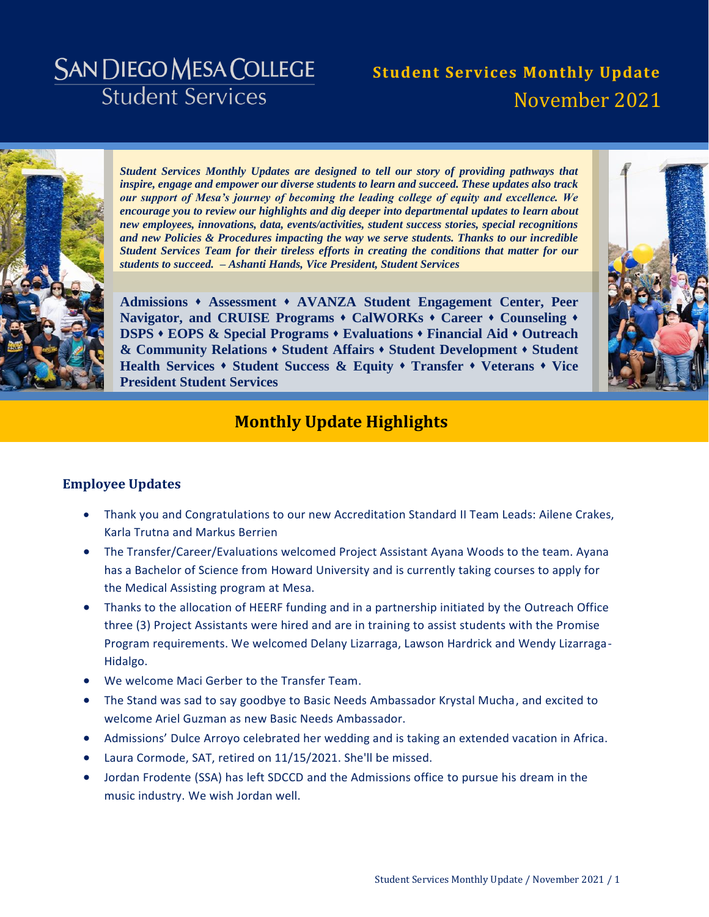# **SAN DIEGO MESA COLLEGE Student Services**

# **Student Services Monthly Update** November 2021



*Student Services Monthly Updates are designed to tell our story of providing pathways that inspire, engage and empower our diverse students to learn and succeed. These updates also track our support of Mesa's journey of becoming the leading college of equity and excellence. We encourage you to review our highlights and dig deeper into departmental updates to learn about new employees, innovations, data, events/activities, student success stories, special recognitions and new Policies & Procedures impacting the way we serve students. Thanks to our incredible Student Services Team for their tireless efforts in creating the conditions that matter for our students to succeed. – Ashanti Hands, Vice President, Student Services* 

**[Admissions](#page-3-0) [Assessment](#page-4-0) [AVANZA Student Engagement Center,](#page-5-0) [Peer](#page-5-1)  [Navigator, and CRUISE Programs](#page-5-1) [CalWORKs](#page-6-0) [Career](#page-7-0) [Counseling](#page-10-0) [DSPS](#page-11-0) [EOPS & Special Programs](#page-12-0) [Evaluations](#page-16-0) [Financial Aid](#page-18-0) [Outreach](#page-20-0)  [& Community Relations](#page-20-0) [Student Affairs](#page-22-0) [Student Development](#page-24-0) [Student](#page-25-0)  [Health Services](#page-25-0) [Student Success & Equity](#page-26-0) [Transfer](#page-28-0) [Veterans](#page-29-0) [Vice](#page-30-0)  [President Student Services](#page-30-0)**



# **Monthly Update Highlights**

### **Employee Updates**

- Thank you and Congratulations to our new Accreditation Standard II Team Leads: Ailene Crakes, Karla Trutna and Markus Berrien
- The Transfer/Career/Evaluations welcomed Project Assistant Ayana Woods to the team. Ayana has a Bachelor of Science from Howard University and is currently taking courses to apply for the Medical Assisting program at Mesa.
- Thanks to the allocation of HEERF funding and in a partnership initiated by the Outreach Office three (3) Project Assistants were hired and are in training to assist students with the Promise Program requirements. We welcomed Delany Lizarraga, Lawson Hardrick and Wendy Lizarraga-Hidalgo.
- We welcome Maci Gerber to the Transfer Team.
- The Stand was sad to say goodbye to Basic Needs Ambassador Krystal Mucha, and excited to welcome Ariel Guzman as new Basic Needs Ambassador.
- Admissions' Dulce Arroyo celebrated her wedding and is taking an extended vacation in Africa.
- Laura Cormode, SAT, retired on 11/15/2021. She'll be missed.
- Jordan Frodente (SSA) has left SDCCD and the Admissions office to pursue his dream in the music industry. We wish Jordan well.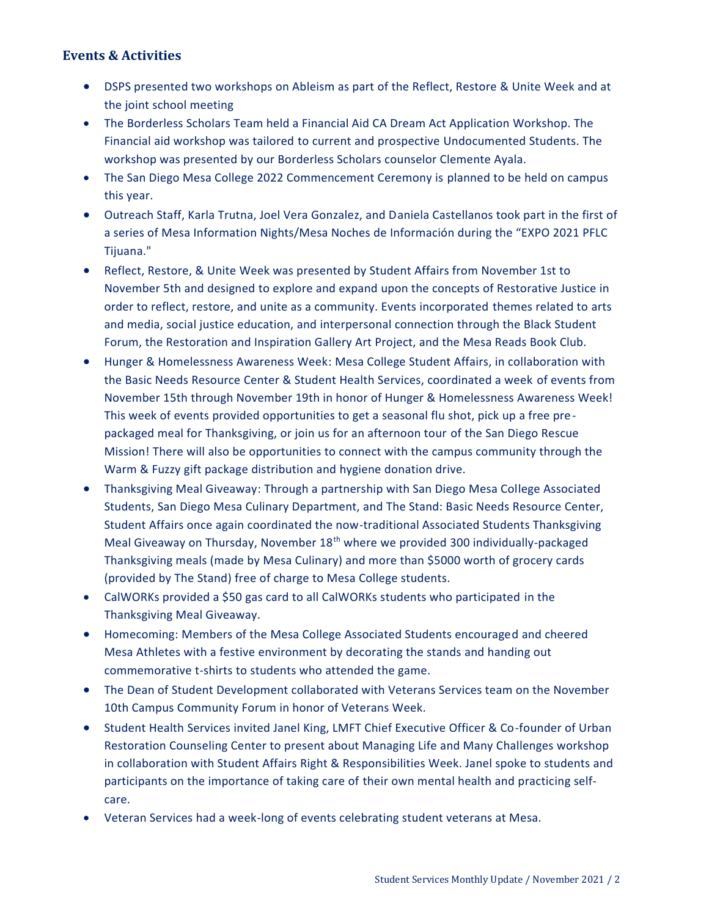## **Events & Activities**

- DSPS presented two workshops on Ableism as part of the Reflect, Restore & Unite Week and at the joint school meeting
- The Borderless Scholars Team held a Financial Aid CA Dream Act Application Workshop. The Financial aid workshop was tailored to current and prospective Undocumented Students. The workshop was presented by our Borderless Scholars counselor Clemente Ayala.
- The San Diego Mesa College 2022 Commencement Ceremony is planned to be held on campus this year.
- Outreach Staff, Karla Trutna, Joel Vera Gonzalez, and Daniela Castellanos took part in the first of a series of Mesa Information Nights/Mesa Noches de Información during the "EXPO 2021 PFLC Tijuana."
- Reflect, Restore, & Unite Week was presented by Student Affairs from November 1st to November 5th and designed to explore and expand upon the concepts of Restorative Justice in order to reflect, restore, and unite as a community. Events incorporated themes related to arts and media, social justice education, and interpersonal connection through the Black Student Forum, the Restoration and Inspiration Gallery Art Project, and the Mesa Reads Book Club.
- Hunger & Homelessness Awareness Week: Mesa College Student Affairs, in collaboration with the Basic Needs Resource Center & Student Health Services, coordinated a week of events from November 15th through November 19th in honor of Hunger & Homelessness Awareness Week! This week of events provided opportunities to get a seasonal flu shot, pick up a free prepackaged meal for Thanksgiving, or join us for an afternoon tour of the San Diego Rescue Mission! There will also be opportunities to connect with the campus community through the Warm & Fuzzy gift package distribution and hygiene donation drive.
- Thanksgiving Meal Giveaway: Through a partnership with San Diego Mesa College Associated Students, San Diego Mesa Culinary Department, and The Stand: Basic Needs Resource Center, Student Affairs once again coordinated the now-traditional Associated Students Thanksgiving Meal Giveaway on Thursday, November 18<sup>th</sup> where we provided 300 individually-packaged Thanksgiving meals (made by Mesa Culinary) and more than \$5000 worth of grocery cards (provided by The Stand) free of charge to Mesa College students.
- CalWORKs provided a \$50 gas card to all CalWORKs students who participated in the Thanksgiving Meal Giveaway.
- Homecoming: Members of the Mesa College Associated Students encouraged and cheered Mesa Athletes with a festive environment by decorating the stands and handing out commemorative t-shirts to students who attended the game.
- The Dean of Student Development collaborated with Veterans Services team on the November 10th Campus Community Forum in honor of Veterans Week.
- Student Health Services invited Janel King, LMFT Chief Executive Officer & Co-founder of Urban Restoration Counseling Center to present about Managing Life and Many Challenges workshop in collaboration with Student Affairs Right & Responsibilities Week. Janel spoke to students and participants on the importance of taking care of their own mental health and practicing selfcare.
- Veteran Services had a week-long of events celebrating student veterans at Mesa.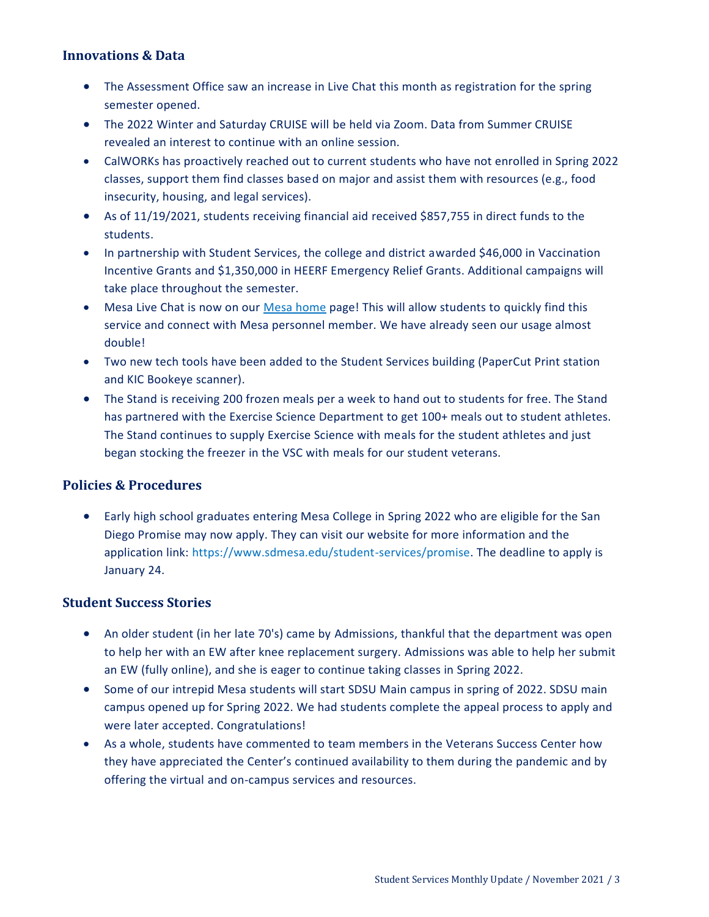### **Innovations & Data**

- The Assessment Office saw an increase in Live Chat this month as registration for the spring semester opened.
- The 2022 Winter and Saturday CRUISE will be held via Zoom. Data from Summer CRUISE revealed an interest to continue with an online session.
- CalWORKs has proactively reached out to current students who have not enrolled in Spring 2022 classes, support them find classes based on major and assist them with resources (e.g., food insecurity, housing, and legal services).
- As of 11/19/2021, students receiving financial aid received \$857,755 in direct funds to the students.
- In partnership with Student Services, the college and district awarded \$46,000 in Vaccination Incentive Grants and \$1,350,000 in HEERF Emergency Relief Grants. Additional campaigns will take place throughout the semester.
- Mesa Live Chat is now on our [Mesa home](https://www.sdmesa.edu/) page! This will allow students to quickly find this service and connect with Mesa personnel member. We have already seen our usage almost double!
- Two new tech tools have been added to the Student Services building (PaperCut Print station and KIC Bookeye scanner).
- The Stand is receiving 200 frozen meals per a week to hand out to students for free. The Stand has partnered with the Exercise Science Department to get 100+ meals out to student athletes. The Stand continues to supply Exercise Science with meals for the student athletes and just began stocking the freezer in the VSC with meals for our student veterans.

### **Policies & Procedures**

 Early high school graduates entering Mesa College in Spring 2022 who are eligible for the San Diego Promise may now apply. They can visit our website for more information and the application link: https://www.sdmesa.edu/student-services/promise. The deadline to apply is January 24.

### **Student Success Stories**

- An older student (in her late 70's) came by Admissions, thankful that the department was open to help her with an EW after knee replacement surgery. Admissions was able to help her submit an EW (fully online), and she is eager to continue taking classes in Spring 2022.
- Some of our intrepid Mesa students will start SDSU Main campus in spring of 2022. SDSU main campus opened up for Spring 2022. We had students complete the appeal process to apply and were later accepted. Congratulations!
- As a whole, students have commented to team members in the Veterans Success Center how they have appreciated the Center's continued availability to them during the pandemic and by offering the virtual and on-campus services and resources.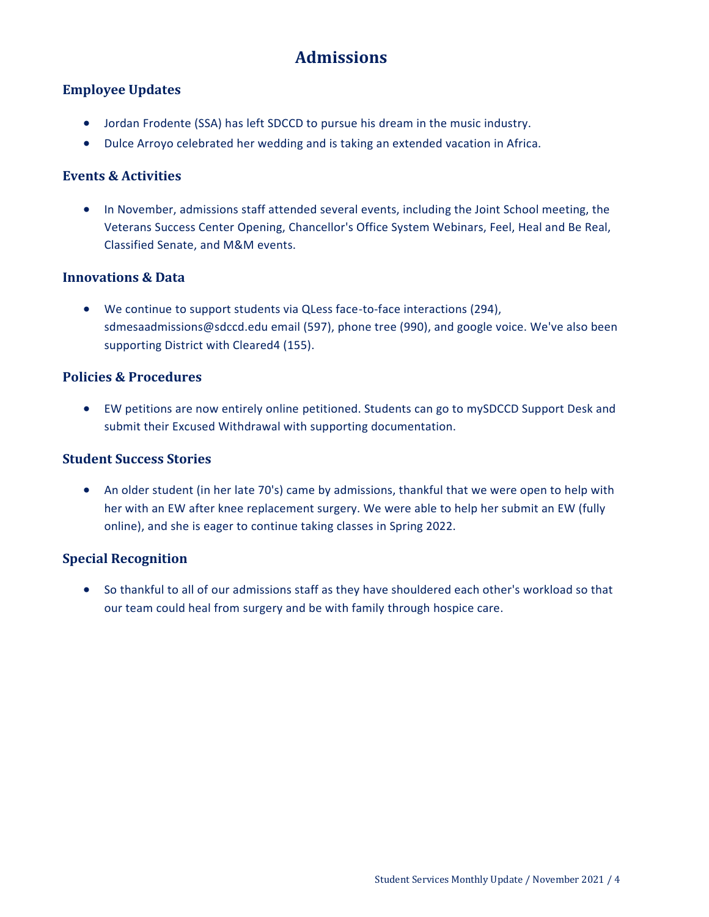# **Admissions**

### <span id="page-3-0"></span>**Employee Updates**

- Jordan Frodente (SSA) has left SDCCD to pursue his dream in the music industry.
- Dulce Arroyo celebrated her wedding and is taking an extended vacation in Africa.

### **Events & Activities**

 In November, admissions staff attended several events, including the Joint School meeting, the Veterans Success Center Opening, Chancellor's Office System Webinars, Feel, Heal and Be Real, Classified Senate, and M&M events.

### **Innovations & Data**

 We continue to support students via QLess face-to-face interactions (294), sdmesaadmissions@sdccd.edu email (597), phone tree (990), and google voice. We've also been supporting District with Cleared4 (155).

### **Policies & Procedures**

 EW petitions are now entirely online petitioned. Students can go to mySDCCD Support Desk and submit their Excused Withdrawal with supporting documentation.

### **Student Success Stories**

 An older student (in her late 70's) came by admissions, thankful that we were open to help with her with an EW after knee replacement surgery. We were able to help her submit an EW (fully online), and she is eager to continue taking classes in Spring 2022.

### **Special Recognition**

 So thankful to all of our admissions staff as they have shouldered each other's workload so that our team could heal from surgery and be with family through hospice care.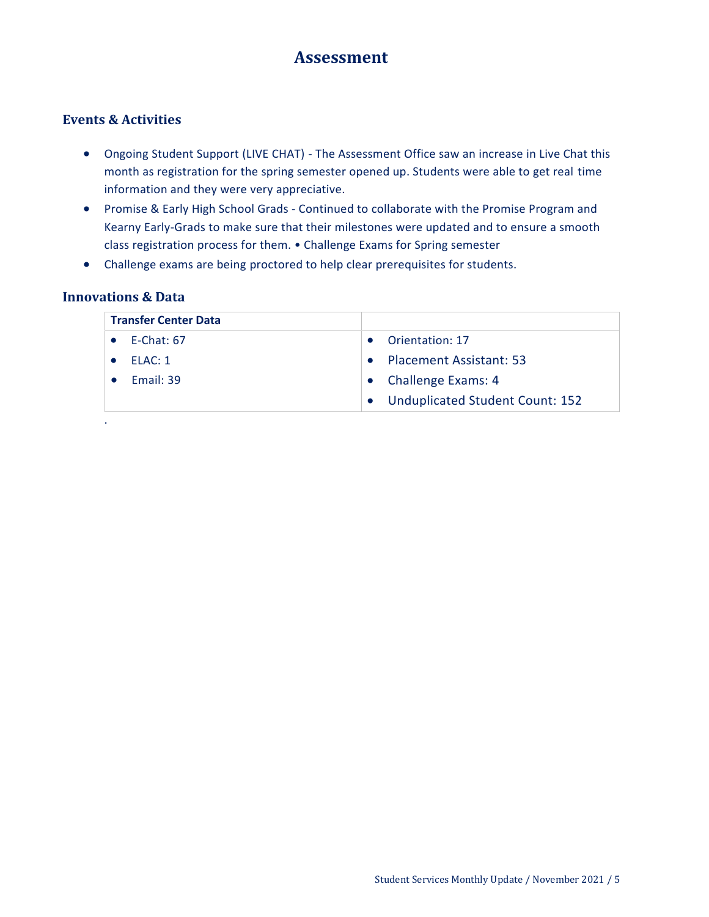# **Assessment**

### <span id="page-4-0"></span>**Events & Activities**

- Ongoing Student Support (LIVE CHAT) The Assessment Office saw an increase in Live Chat this month as registration for the spring semester opened up. Students were able to get real time information and they were very appreciative.
- Promise & Early High School Grads Continued to collaborate with the Promise Program and Kearny Early-Grads to make sure that their milestones were updated and to ensure a smooth class registration process for them. • Challenge Exams for Spring semester
- Challenge exams are being proctored to help clear prerequisites for students.

### **Innovations & Data**

| <b>Transfer Center Data</b> |                                                     |
|-----------------------------|-----------------------------------------------------|
| $E$ -Chat: 67               | Orientation: 17                                     |
| FLAC:1                      | <b>Placement Assistant: 53</b><br>$\bullet$         |
| Fmail: 39                   | <b>Challenge Exams: 4</b>                           |
|                             | <b>Unduplicated Student Count: 152</b><br>$\bullet$ |
| ٠                           |                                                     |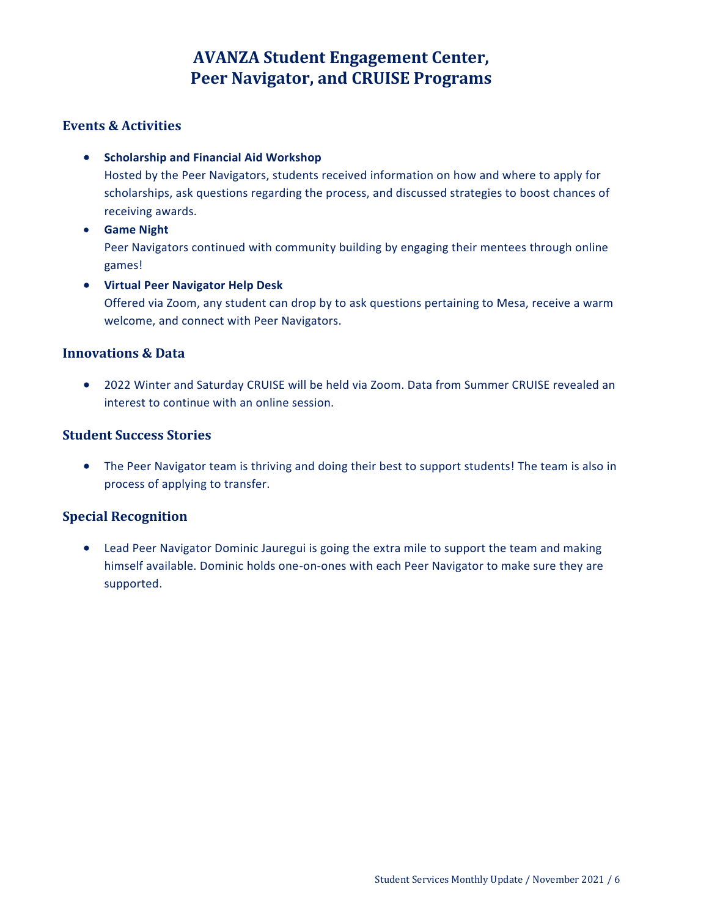# **AVANZA Student Engagement Center, Peer Navigator, and CRUISE Programs**

### <span id="page-5-1"></span><span id="page-5-0"></span>**Events & Activities**

**•** Scholarship and Financial Aid Workshop

Hosted by the Peer Navigators, students received information on how and where to apply for scholarships, ask questions regarding the process, and discussed strategies to boost chances of receiving awards.

**Game Night**

Peer Navigators continued with community building by engaging their mentees through online games!

**Virtual Peer Navigator Help Desk**

Offered via Zoom, any student can drop by to ask questions pertaining to Mesa, receive a warm welcome, and connect with Peer Navigators.

### **Innovations & Data**

 2022 Winter and Saturday CRUISE will be held via Zoom. Data from Summer CRUISE revealed an interest to continue with an online session.

### **Student Success Stories**

 The Peer Navigator team is thriving and doing their best to support students! The team is also in process of applying to transfer.

### **Special Recognition**

 Lead Peer Navigator Dominic Jauregui is going the extra mile to support the team and making himself available. Dominic holds one-on-ones with each Peer Navigator to make sure they are supported.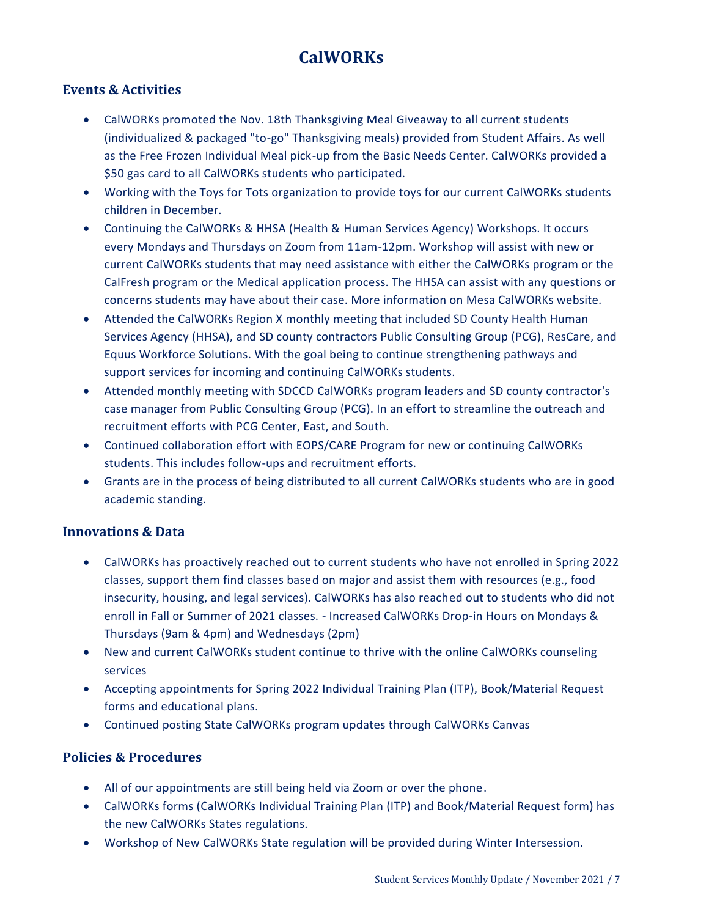# **CalWORKs**

## <span id="page-6-0"></span>**Events & Activities**

- CalWORKs promoted the Nov. 18th Thanksgiving Meal Giveaway to all current students (individualized & packaged "to-go" Thanksgiving meals) provided from Student Affairs. As well as the Free Frozen Individual Meal pick-up from the Basic Needs Center. CalWORKs provided a \$50 gas card to all CalWORKs students who participated.
- Working with the Toys for Tots organization to provide toys for our current CalWORKs students children in December.
- Continuing the CalWORKs & HHSA (Health & Human Services Agency) Workshops. It occurs every Mondays and Thursdays on Zoom from 11am-12pm. Workshop will assist with new or current CalWORKs students that may need assistance with either the CalWORKs program or the CalFresh program or the Medical application process. The HHSA can assist with any questions or concerns students may have about their case. More information on Mesa CalWORKs website.
- Attended the CalWORKs Region X monthly meeting that included SD County Health Human Services Agency (HHSA), and SD county contractors Public Consulting Group (PCG), ResCare, and Equus Workforce Solutions. With the goal being to continue strengthening pathways and support services for incoming and continuing CalWORKs students.
- Attended monthly meeting with SDCCD CalWORKs program leaders and SD county contractor's case manager from Public Consulting Group (PCG). In an effort to streamline the outreach and recruitment efforts with PCG Center, East, and South.
- Continued collaboration effort with EOPS/CARE Program for new or continuing CalWORKs students. This includes follow-ups and recruitment efforts.
- Grants are in the process of being distributed to all current CalWORKs students who are in good academic standing.

### **Innovations & Data**

- CalWORKs has proactively reached out to current students who have not enrolled in Spring 2022 classes, support them find classes based on major and assist them with resources (e.g., food insecurity, housing, and legal services). CalWORKs has also reached out to students who did not enroll in Fall or Summer of 2021 classes. - Increased CalWORKs Drop-in Hours on Mondays & Thursdays (9am & 4pm) and Wednesdays (2pm)
- New and current CalWORKs student continue to thrive with the online CalWORKs counseling services
- Accepting appointments for Spring 2022 Individual Training Plan (ITP), Book/Material Request forms and educational plans.
- Continued posting State CalWORKs program updates through CalWORKs Canvas

# **Policies & Procedures**

- All of our appointments are still being held via Zoom or over the phone.
- CalWORKs forms (CalWORKs Individual Training Plan (ITP) and Book/Material Request form) has the new CalWORKs States regulations.
- Workshop of New CalWORKs State regulation will be provided during Winter Intersession.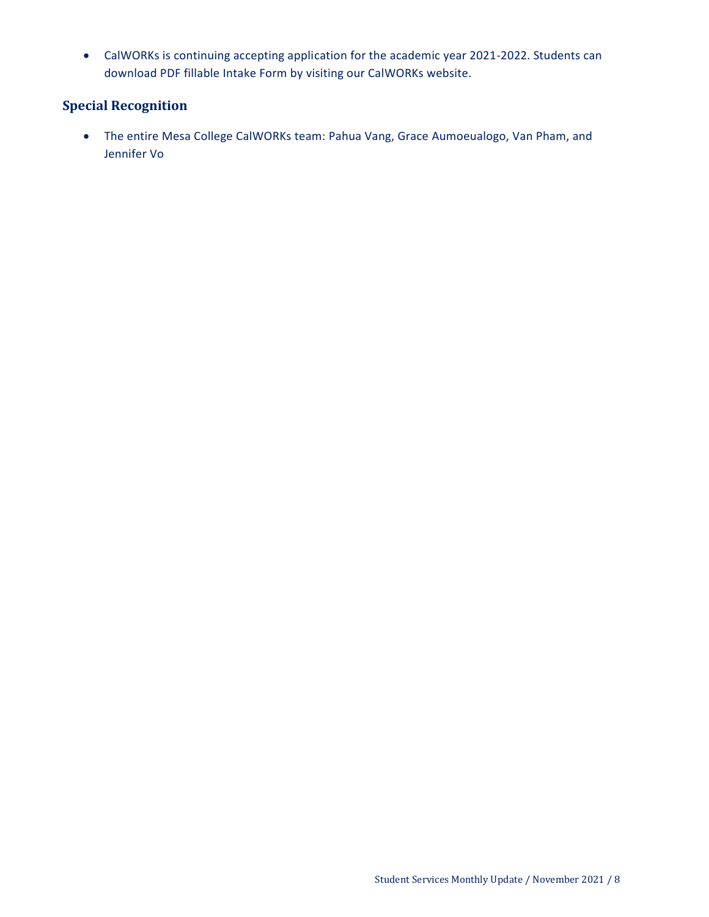CalWORKs is continuing accepting application for the academic year 2021-2022. Students can download PDF fillable Intake Form by visiting our CalWORKs website.

## **Special Recognition**

<span id="page-7-0"></span> The entire Mesa College CalWORKs team: Pahua Vang, Grace Aumoeualogo, Van Pham, and Jennifer Vo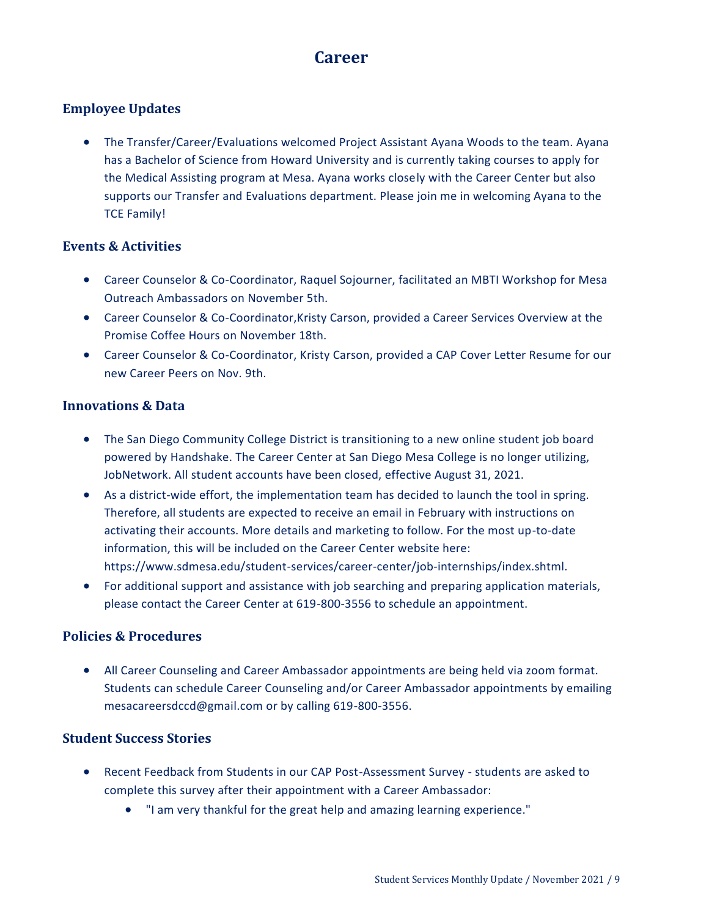# **Career**

## **Employee Updates**

 The Transfer/Career/Evaluations welcomed Project Assistant Ayana Woods to the team. Ayana has a Bachelor of Science from Howard University and is currently taking courses to apply for the Medical Assisting program at Mesa. Ayana works closely with the Career Center but also supports our Transfer and Evaluations department. Please join me in welcoming Ayana to the TCE Family!

### **Events & Activities**

- Career Counselor & Co-Coordinator, Raquel Sojourner, facilitated an MBTI Workshop for Mesa Outreach Ambassadors on November 5th.
- Career Counselor & Co-Coordinator,Kristy Carson, provided a Career Services Overview at the Promise Coffee Hours on November 18th.
- Career Counselor & Co-Coordinator, Kristy Carson, provided a CAP Cover Letter Resume for our new Career Peers on Nov. 9th.

### **Innovations & Data**

- The San Diego Community College District is transitioning to a new online student job board powered by Handshake. The Career Center at San Diego Mesa College is no longer utilizing, JobNetwork. All student accounts have been closed, effective August 31, 2021.
- As a district-wide effort, the implementation team has decided to launch the tool in spring. Therefore, all students are expected to receive an email in February with instructions on activating their accounts. More details and marketing to follow. For the most up-to-date information, this will be included on the Career Center website here: https://www.sdmesa.edu/student-services/career-center/job-internships/index.shtml.
- For additional support and assistance with job searching and preparing application materials, please contact the Career Center at 619-800-3556 to schedule an appointment.

### **Policies & Procedures**

 All Career Counseling and Career Ambassador appointments are being held via zoom format. Students can schedule Career Counseling and/or Career Ambassador appointments by emailing mesacareersdccd@gmail.com or by calling 619-800-3556.

### **Student Success Stories**

- Recent Feedback from Students in our CAP Post-Assessment Survey students are asked to complete this survey after their appointment with a Career Ambassador:
	- "I am very thankful for the great help and amazing learning experience."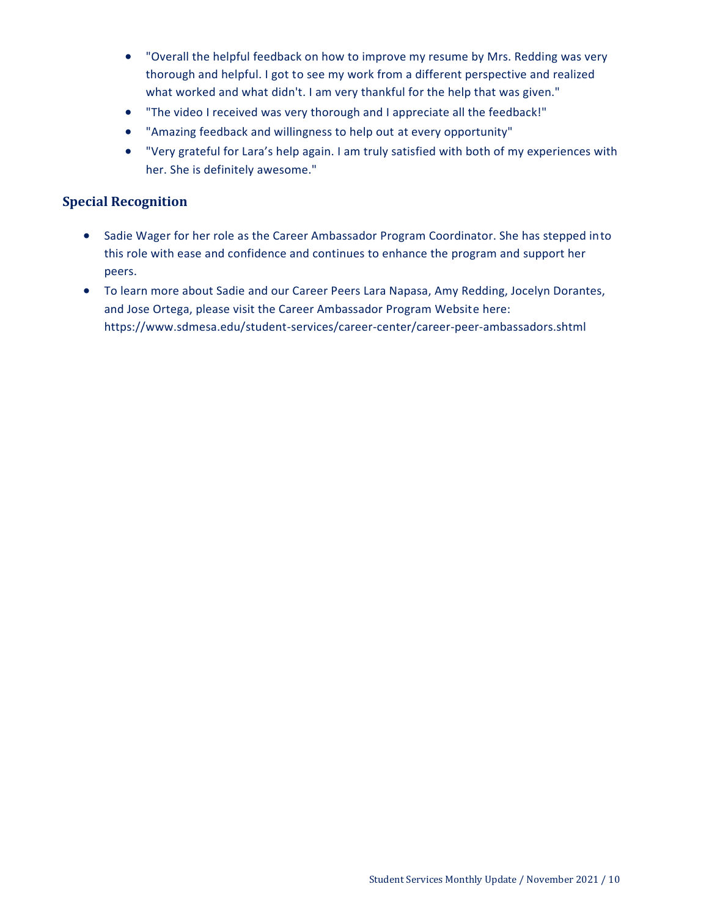- "Overall the helpful feedback on how to improve my resume by Mrs. Redding was very thorough and helpful. I got to see my work from a different perspective and realized what worked and what didn't. I am very thankful for the help that was given."
- "The video I received was very thorough and I appreciate all the feedback!"
- "Amazing feedback and willingness to help out at every opportunity"
- "Very grateful for Lara's help again. I am truly satisfied with both of my experiences with her. She is definitely awesome."

### **Special Recognition**

- Sadie Wager for her role as the Career Ambassador Program Coordinator. She has stepped into this role with ease and confidence and continues to enhance the program and support her peers.
- To learn more about Sadie and our Career Peers Lara Napasa, Amy Redding, Jocelyn Dorantes, and Jose Ortega, please visit the Career Ambassador Program Website here: https://www.sdmesa.edu/student-services/career-center/career-peer-ambassadors.shtml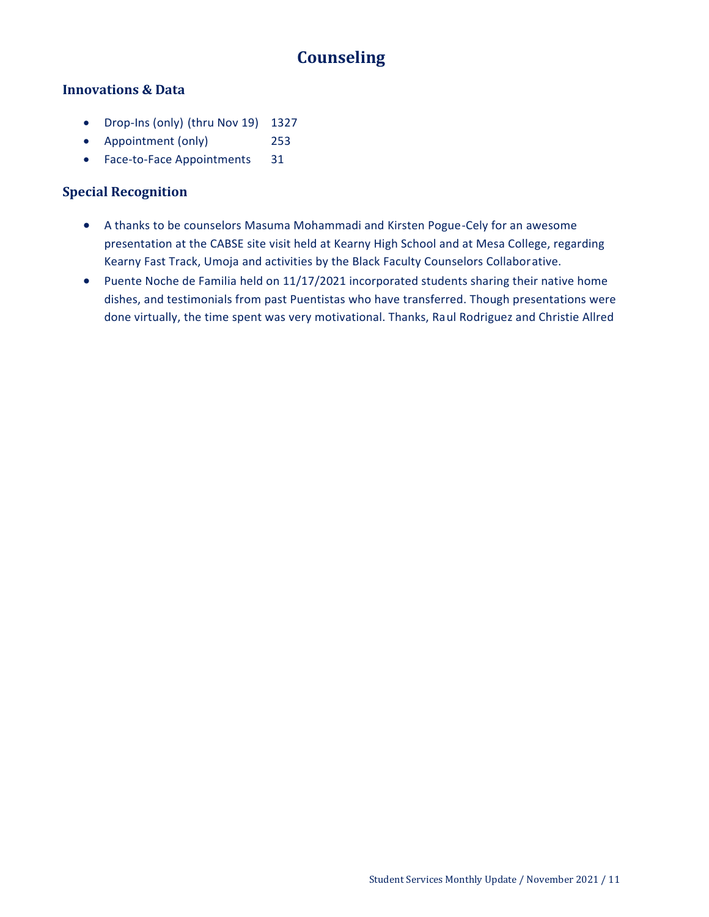# **Counseling**

### <span id="page-10-0"></span>**Innovations & Data**

- Drop-Ins (only) (thru Nov 19) 1327
- Appointment (only) 253
- Face-to-Face Appointments 31

### **Special Recognition**

- A thanks to be counselors Masuma Mohammadi and Kirsten Pogue-Cely for an awesome presentation at the CABSE site visit held at Kearny High School and at Mesa College, regarding Kearny Fast Track, Umoja and activities by the Black Faculty Counselors Collaborative.
- Puente Noche de Familia held on 11/17/2021 incorporated students sharing their native home dishes, and testimonials from past Puentistas who have transferred. Though presentations were done virtually, the time spent was very motivational. Thanks, Raul Rodriguez and Christie Allred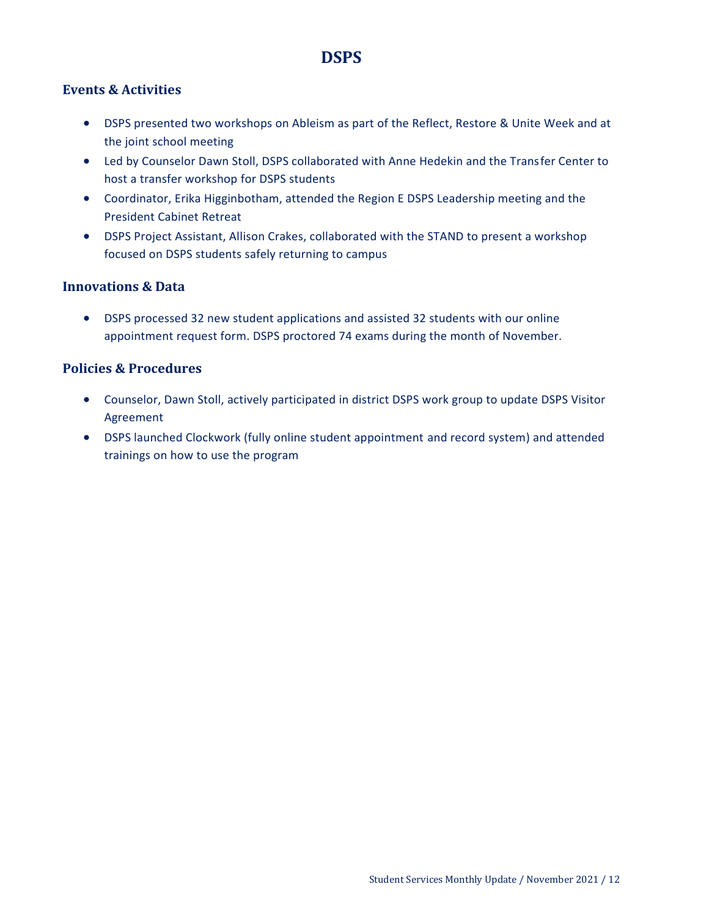# **DSPS**

### <span id="page-11-0"></span>**Events & Activities**

- DSPS presented two workshops on Ableism as part of the Reflect, Restore & Unite Week and at the joint school meeting
- Led by Counselor Dawn Stoll, DSPS collaborated with Anne Hedekin and the Transfer Center to host a transfer workshop for DSPS students
- Coordinator, Erika Higginbotham, attended the Region E DSPS Leadership meeting and the President Cabinet Retreat
- DSPS Project Assistant, Allison Crakes, collaborated with the STAND to present a workshop focused on DSPS students safely returning to campus

### **Innovations & Data**

 DSPS processed 32 new student applications and assisted 32 students with our online appointment request form. DSPS proctored 74 exams during the month of November.

### **Policies & Procedures**

- Counselor, Dawn Stoll, actively participated in district DSPS work group to update DSPS Visitor Agreement
- DSPS launched Clockwork (fully online student appointment and record system) and attended trainings on how to use the program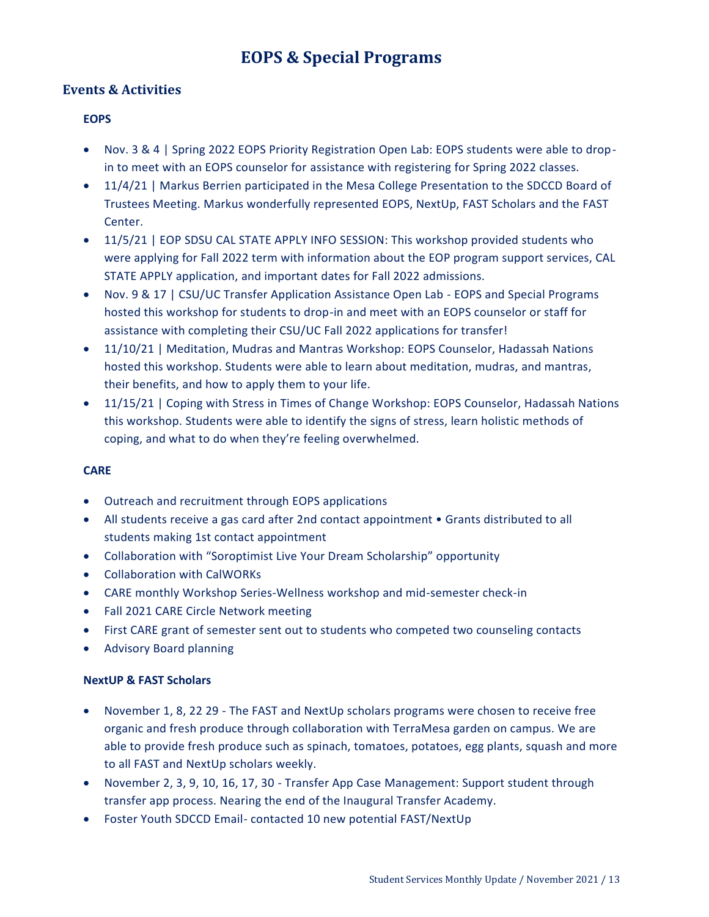# **EOPS & Special Programs**

### <span id="page-12-0"></span>**Events & Activities**

### **EOPS**

- Nov. 3 & 4 | Spring 2022 EOPS Priority Registration Open Lab: EOPS students were able to dropin to meet with an EOPS counselor for assistance with registering for Spring 2022 classes.
- 11/4/21 | Markus Berrien participated in the Mesa College Presentation to the SDCCD Board of Trustees Meeting. Markus wonderfully represented EOPS, NextUp, FAST Scholars and the FAST Center.
- 11/5/21 | EOP SDSU CAL STATE APPLY INFO SESSION: This workshop provided students who were applying for Fall 2022 term with information about the EOP program support services, CAL STATE APPLY application, and important dates for Fall 2022 admissions.
- Nov. 9 & 17 | CSU/UC Transfer Application Assistance Open Lab EOPS and Special Programs hosted this workshop for students to drop-in and meet with an EOPS counselor or staff for assistance with completing their CSU/UC Fall 2022 applications for transfer!
- 11/10/21 | Meditation, Mudras and Mantras Workshop: EOPS Counselor, Hadassah Nations hosted this workshop. Students were able to learn about meditation, mudras, and mantras, their benefits, and how to apply them to your life.
- 11/15/21 | Coping with Stress in Times of Change Workshop: EOPS Counselor, Hadassah Nations this workshop. Students were able to identify the signs of stress, learn holistic methods of coping, and what to do when they're feeling overwhelmed.

#### **CARE**

- Outreach and recruitment through EOPS applications
- All students receive a gas card after 2nd contact appointment Grants distributed to all students making 1st contact appointment
- Collaboration with "Soroptimist Live Your Dream Scholarship" opportunity
- Collaboration with CalWORKs
- CARE monthly Workshop Series-Wellness workshop and mid-semester check-in
- Fall 2021 CARE Circle Network meeting
- First CARE grant of semester sent out to students who competed two counseling contacts
- Advisory Board planning

#### **NextUP & FAST Scholars**

- November 1, 8, 22 29 The FAST and NextUp scholars programs were chosen to receive free organic and fresh produce through collaboration with TerraMesa garden on campus. We are able to provide fresh produce such as spinach, tomatoes, potatoes, egg plants, squash and more to all FAST and NextUp scholars weekly.
- November 2, 3, 9, 10, 16, 17, 30 Transfer App Case Management: Support student through transfer app process. Nearing the end of the Inaugural Transfer Academy.
- Foster Youth SDCCD Email- contacted 10 new potential FAST/NextUp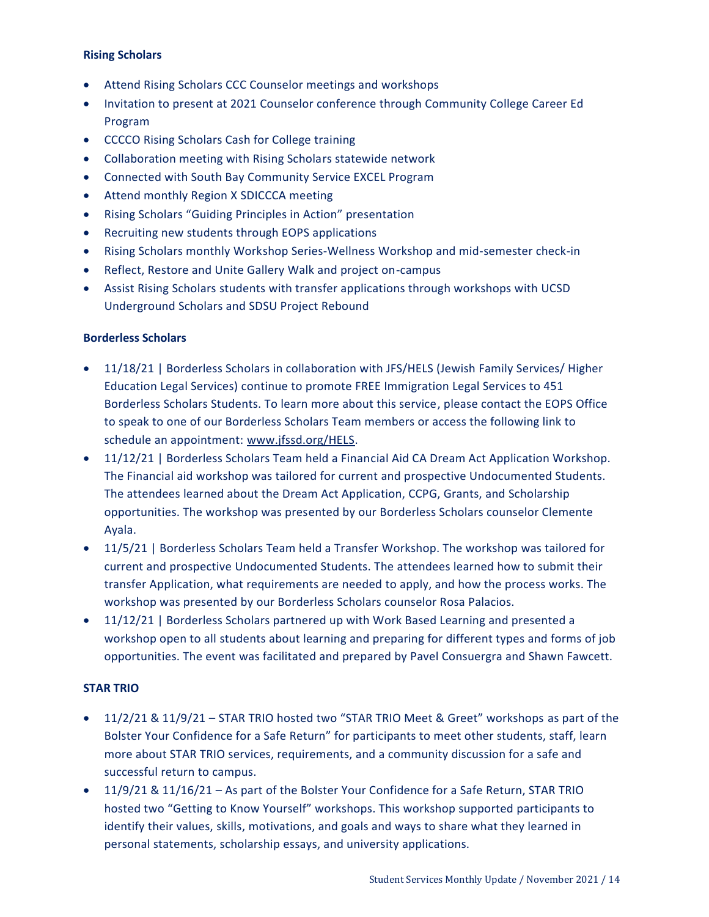#### **Rising Scholars**

- Attend Rising Scholars CCC Counselor meetings and workshops
- Invitation to present at 2021 Counselor conference through Community College Career Ed Program
- CCCCO Rising Scholars Cash for College training
- Collaboration meeting with Rising Scholars statewide network
- Connected with South Bay Community Service EXCEL Program
- Attend monthly Region X SDICCCA meeting
- Rising Scholars "Guiding Principles in Action" presentation
- Recruiting new students through EOPS applications
- Rising Scholars monthly Workshop Series-Wellness Workshop and mid-semester check-in
- Reflect, Restore and Unite Gallery Walk and project on-campus
- Assist Rising Scholars students with transfer applications through workshops with UCSD Underground Scholars and SDSU Project Rebound

#### **Borderless Scholars**

- 11/18/21 | Borderless Scholars in collaboration with JFS/HELS (Jewish Family Services/ Higher Education Legal Services) continue to promote FREE Immigration Legal Services to 451 Borderless Scholars Students. To learn more about this service, please contact the EOPS Office to speak to one of our Borderless Scholars Team members or access the following link to schedule an appointment: [www.jfssd.org/HELS.](http://www.jfssd.org/HELS)
- 11/12/21 | Borderless Scholars Team held a Financial Aid CA Dream Act Application Workshop. The Financial aid workshop was tailored for current and prospective Undocumented Students. The attendees learned about the Dream Act Application, CCPG, Grants, and Scholarship opportunities. The workshop was presented by our Borderless Scholars counselor Clemente Ayala.
- 11/5/21 | Borderless Scholars Team held a Transfer Workshop. The workshop was tailored for current and prospective Undocumented Students. The attendees learned how to submit their transfer Application, what requirements are needed to apply, and how the process works. The workshop was presented by our Borderless Scholars counselor Rosa Palacios.
- 11/12/21 | Borderless Scholars partnered up with Work Based Learning and presented a workshop open to all students about learning and preparing for different types and forms of job opportunities. The event was facilitated and prepared by Pavel Consuergra and Shawn Fawcett.

#### **STAR TRIO**

- 11/2/21 & 11/9/21 STAR TRIO hosted two "STAR TRIO Meet & Greet" workshops as part of the Bolster Your Confidence for a Safe Return" for participants to meet other students, staff, learn more about STAR TRIO services, requirements, and a community discussion for a safe and successful return to campus.
- 11/9/21 & 11/16/21 As part of the Bolster Your Confidence for a Safe Return, STAR TRIO hosted two "Getting to Know Yourself" workshops. This workshop supported participants to identify their values, skills, motivations, and goals and ways to share what they learned in personal statements, scholarship essays, and university applications.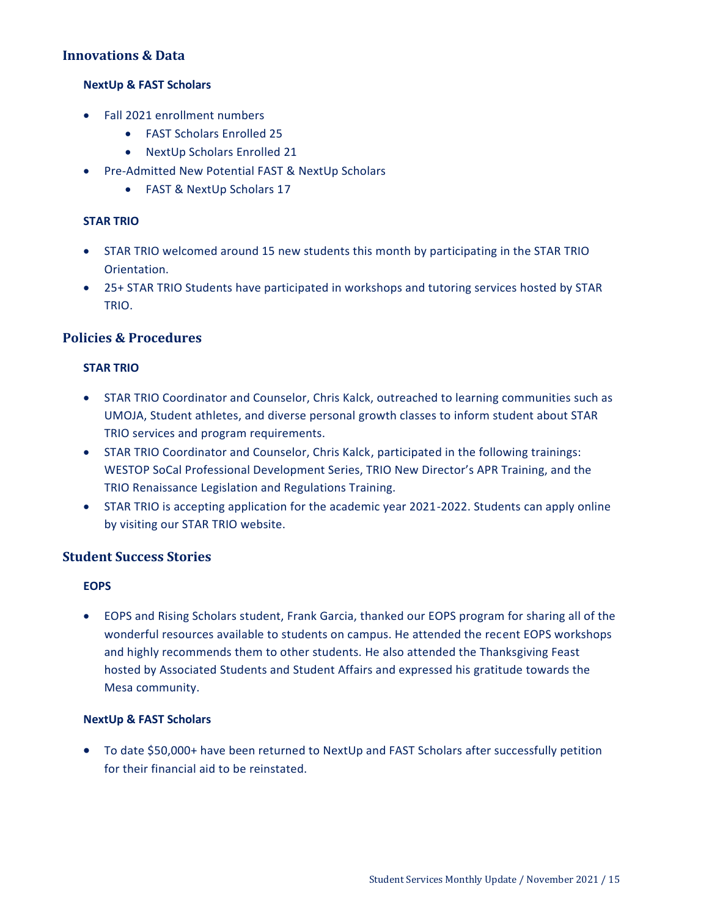### **Innovations & Data**

#### **NextUp & FAST Scholars**

- Fall 2021 enrollment numbers
	- FAST Scholars Enrolled 25
	- NextUp Scholars Enrolled 21
- Pre-Admitted New Potential FAST & NextUp Scholars
	- FAST & NextUp Scholars 17

#### **STAR TRIO**

- STAR TRIO welcomed around 15 new students this month by participating in the STAR TRIO Orientation.
- 25+ STAR TRIO Students have participated in workshops and tutoring services hosted by STAR TRIO.

### **Policies & Procedures**

#### **STAR TRIO**

- STAR TRIO Coordinator and Counselor, Chris Kalck, outreached to learning communities such as UMOJA, Student athletes, and diverse personal growth classes to inform student about STAR TRIO services and program requirements.
- STAR TRIO Coordinator and Counselor, Chris Kalck, participated in the following trainings: WESTOP SoCal Professional Development Series, TRIO New Director's APR Training, and the TRIO Renaissance Legislation and Regulations Training.
- STAR TRIO is accepting application for the academic year 2021-2022. Students can apply online by visiting our STAR TRIO website.

### **Student Success Stories**

#### **EOPS**

 EOPS and Rising Scholars student, Frank Garcia, thanked our EOPS program for sharing all of the wonderful resources available to students on campus. He attended the recent EOPS workshops and highly recommends them to other students. He also attended the Thanksgiving Feast hosted by Associated Students and Student Affairs and expressed his gratitude towards the Mesa community.

#### **NextUp & FAST Scholars**

 To date \$50,000+ have been returned to NextUp and FAST Scholars after successfully petition for their financial aid to be reinstated.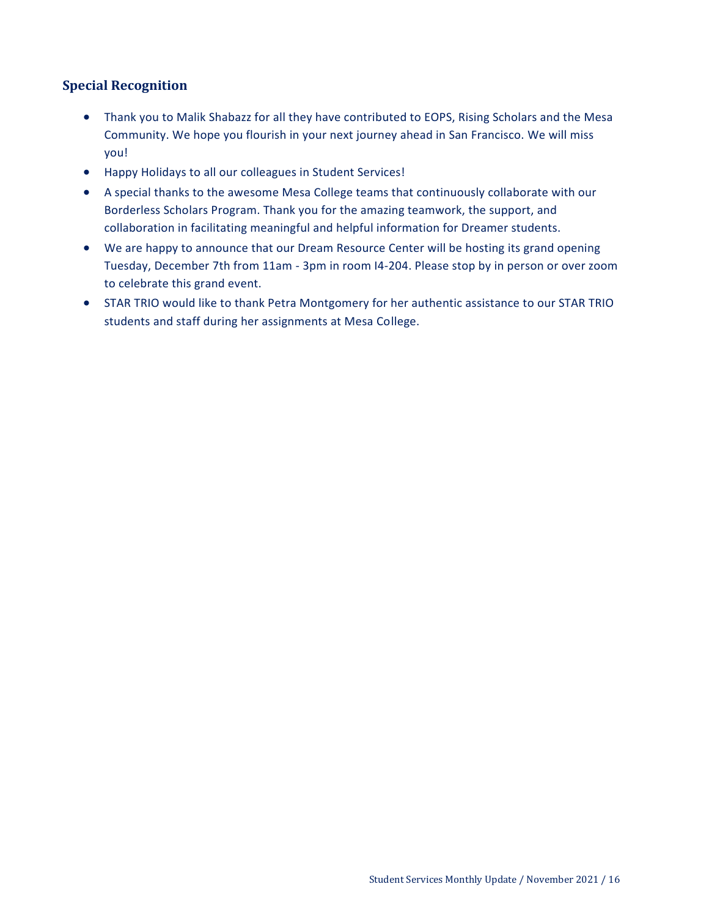### **Special Recognition**

- Thank you to Malik Shabazz for all they have contributed to EOPS, Rising Scholars and the Mesa Community. We hope you flourish in your next journey ahead in San Francisco. We will miss you!
- Happy Holidays to all our colleagues in Student Services!
- A special thanks to the awesome Mesa College teams that continuously collaborate with our Borderless Scholars Program. Thank you for the amazing teamwork, the support, and collaboration in facilitating meaningful and helpful information for Dreamer students.
- We are happy to announce that our Dream Resource Center will be hosting its grand opening Tuesday, December 7th from 11am - 3pm in room I4-204. Please stop by in person or over zoom to celebrate this grand event.
- STAR TRIO would like to thank Petra Montgomery for her authentic assistance to our STAR TRIO students and staff during her assignments at Mesa College.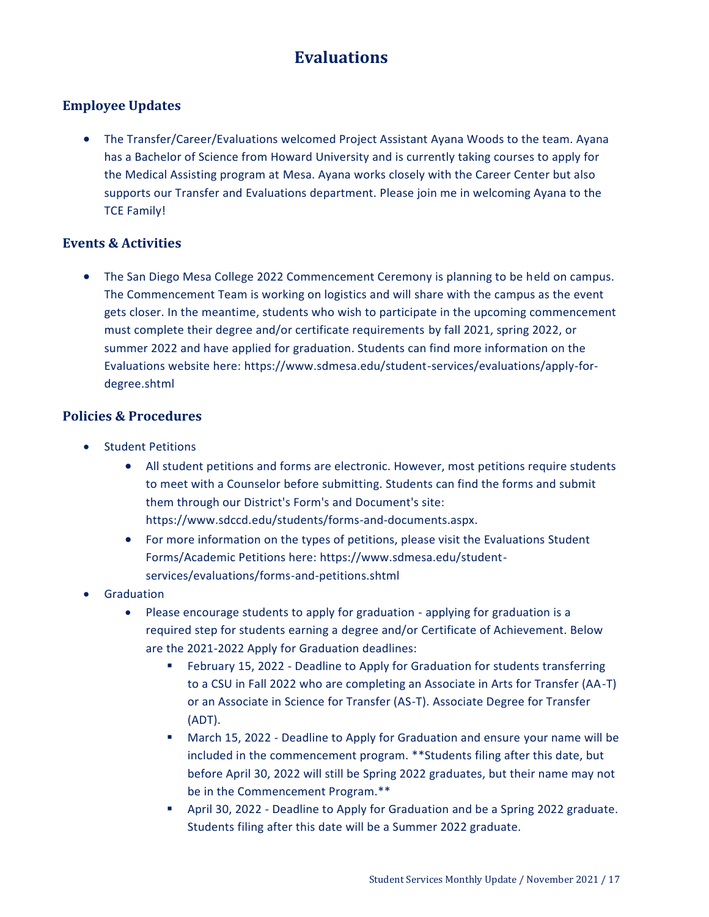# **Evaluations**

## <span id="page-16-0"></span>**Employee Updates**

 The Transfer/Career/Evaluations welcomed Project Assistant Ayana Woods to the team. Ayana has a Bachelor of Science from Howard University and is currently taking courses to apply for the Medical Assisting program at Mesa. Ayana works closely with the Career Center but also supports our Transfer and Evaluations department. Please join me in welcoming Ayana to the TCE Family!

### **Events & Activities**

 The San Diego Mesa College 2022 Commencement Ceremony is planning to be held on campus. The Commencement Team is working on logistics and will share with the campus as the event gets closer. In the meantime, students who wish to participate in the upcoming commencement must complete their degree and/or certificate requirements by fall 2021, spring 2022, or summer 2022 and have applied for graduation. Students can find more information on the Evaluations website here: https://www.sdmesa.edu/student-services/evaluations/apply-fordegree.shtml

### **Policies & Procedures**

- Student Petitions
	- All student petitions and forms are electronic. However, most petitions require students to meet with a Counselor before submitting. Students can find the forms and submit them through our District's Form's and Document's site: https://www.sdccd.edu/students/forms-and-documents.aspx.
	- For more information on the types of petitions, please visit the Evaluations Student Forms/Academic Petitions here: https://www.sdmesa.edu/studentservices/evaluations/forms-and-petitions.shtml
- Graduation
	- Please encourage students to apply for graduation applying for graduation is a required step for students earning a degree and/or Certificate of Achievement. Below are the 2021-2022 Apply for Graduation deadlines:
		- February 15, 2022 Deadline to Apply for Graduation for students transferring to a CSU in Fall 2022 who are completing an Associate in Arts for Transfer (AA-T) or an Associate in Science for Transfer (AS-T). Associate Degree for Transfer (ADT).
		- March 15, 2022 Deadline to Apply for Graduation and ensure your name will be included in the commencement program. \*\*Students filing after this date, but before April 30, 2022 will still be Spring 2022 graduates, but their name may not be in the Commencement Program.\*\*
		- April 30, 2022 Deadline to Apply for Graduation and be a Spring 2022 graduate. Students filing after this date will be a Summer 2022 graduate.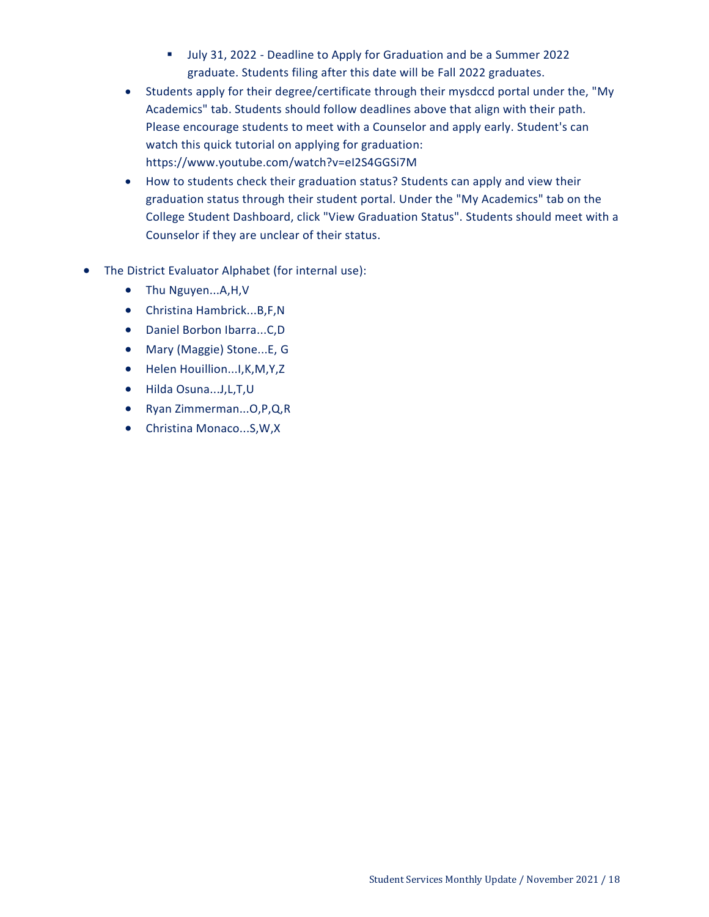- Ully 31, 2022 Deadline to Apply for Graduation and be a Summer 2022 graduate. Students filing after this date will be Fall 2022 graduates.
- Students apply for their degree/certificate through their mysdccd portal under the, "My Academics" tab. Students should follow deadlines above that align with their path. Please encourage students to meet with a Counselor and apply early. Student's can watch this quick tutorial on applying for graduation: https://www.youtube.com/watch?v=eI2S4GGSi7M
- How to students check their graduation status? Students can apply and view their graduation status through their student portal. Under the "My Academics" tab on the College Student Dashboard, click "View Graduation Status". Students should meet with a Counselor if they are unclear of their status.
- The District Evaluator Alphabet (for internal use):
	- Thu Nguyen...A,H,V
	- Christina Hambrick...B,F,N
	- Daniel Borbon Ibarra...C,D
	- Mary (Maggie) Stone...E, G
	- Helen Houillion...I,K,M,Y,Z
	- Hilda Osuna...J,L,T,U
	- Ryan Zimmerman...O,P,Q,R
	- Christina Monaco...S,W,X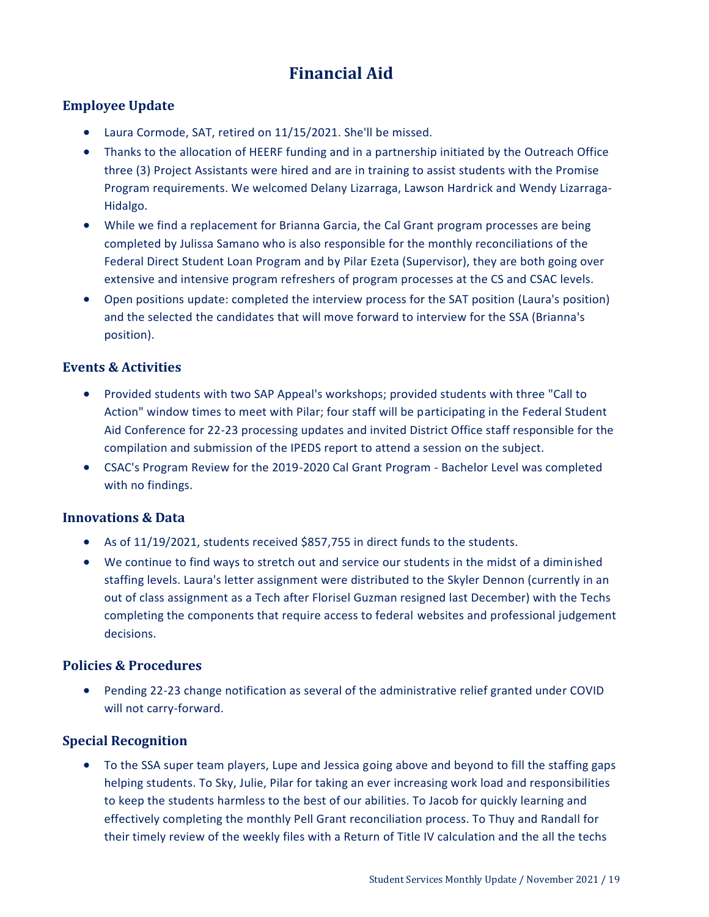# **Financial Aid**

### <span id="page-18-0"></span>**Employee Update**

- Laura Cormode, SAT, retired on 11/15/2021. She'll be missed.
- Thanks to the allocation of HEERF funding and in a partnership initiated by the Outreach Office three (3) Project Assistants were hired and are in training to assist students with the Promise Program requirements. We welcomed Delany Lizarraga, Lawson Hardrick and Wendy Lizarraga-Hidalgo.
- While we find a replacement for Brianna Garcia, the Cal Grant program processes are being completed by Julissa Samano who is also responsible for the monthly reconciliations of the Federal Direct Student Loan Program and by Pilar Ezeta (Supervisor), they are both going over extensive and intensive program refreshers of program processes at the CS and CSAC levels.
- Open positions update: completed the interview process for the SAT position (Laura's position) and the selected the candidates that will move forward to interview for the SSA (Brianna's position).

### **Events & Activities**

- Provided students with two SAP Appeal's workshops; provided students with three "Call to Action" window times to meet with Pilar; four staff will be participating in the Federal Student Aid Conference for 22-23 processing updates and invited District Office staff responsible for the compilation and submission of the IPEDS report to attend a session on the subject.
- CSAC's Program Review for the 2019-2020 Cal Grant Program Bachelor Level was completed with no findings.

### **Innovations & Data**

- As of 11/19/2021, students received \$857,755 in direct funds to the students.
- We continue to find ways to stretch out and service our students in the midst of a diminished staffing levels. Laura's letter assignment were distributed to the Skyler Dennon (currently in an out of class assignment as a Tech after Florisel Guzman resigned last December) with the Techs completing the components that require access to federal websites and professional judgement decisions.

### **Policies & Procedures**

 Pending 22-23 change notification as several of the administrative relief granted under COVID will not carry-forward.

### **Special Recognition**

 To the SSA super team players, Lupe and Jessica going above and beyond to fill the staffing gaps helping students. To Sky, Julie, Pilar for taking an ever increasing work load and responsibilities to keep the students harmless to the best of our abilities. To Jacob for quickly learning and effectively completing the monthly Pell Grant reconciliation process. To Thuy and Randall for their timely review of the weekly files with a Return of Title IV calculation and the all the techs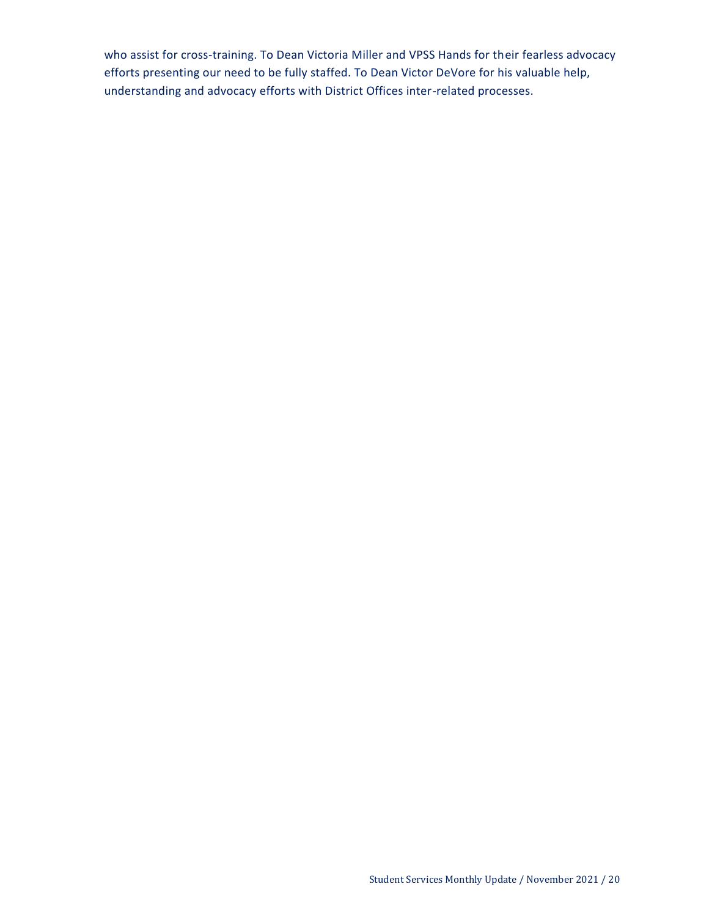who assist for cross-training. To Dean Victoria Miller and VPSS Hands for their fearless advocacy efforts presenting our need to be fully staffed. To Dean Victor DeVore for his valuable help, understanding and advocacy efforts with District Offices inter-related processes.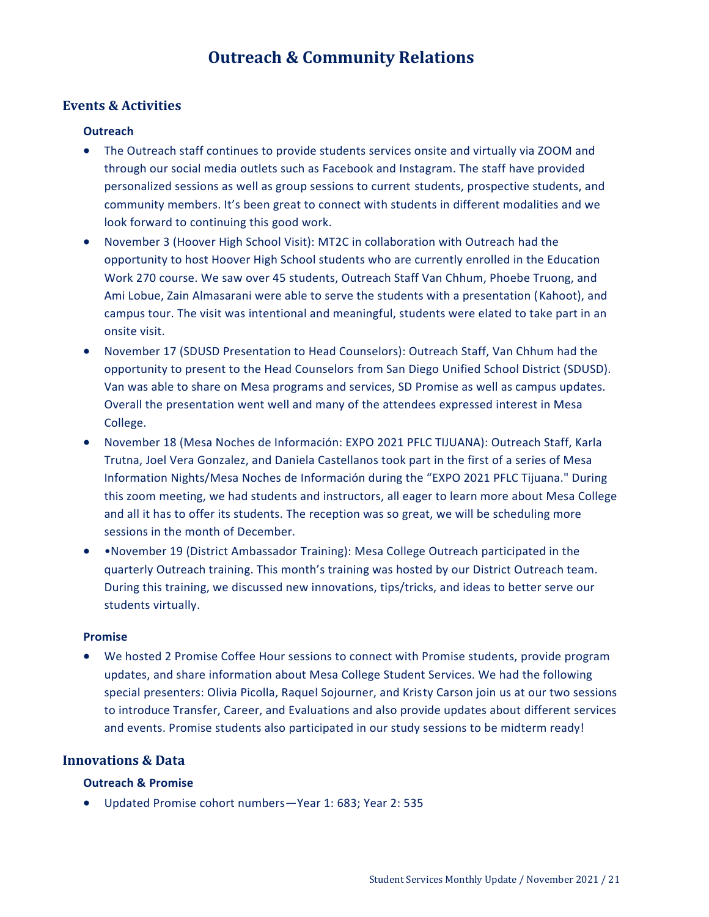# **Outreach & Community Relations**

### <span id="page-20-0"></span>**Events & Activities**

#### **Outreach**

- The Outreach staff continues to provide students services onsite and virtually via ZOOM and through our social media outlets such as Facebook and Instagram. The staff have provided personalized sessions as well as group sessions to current students, prospective students, and community members. It's been great to connect with students in different modalities and we look forward to continuing this good work.
- November 3 (Hoover High School Visit): MT2C in collaboration with Outreach had the opportunity to host Hoover High School students who are currently enrolled in the Education Work 270 course. We saw over 45 students, Outreach Staff Van Chhum, Phoebe Truong, and Ami Lobue, Zain Almasarani were able to serve the students with a presentation (Kahoot), and campus tour. The visit was intentional and meaningful, students were elated to take part in an onsite visit.
- November 17 (SDUSD Presentation to Head Counselors): Outreach Staff, Van Chhum had the opportunity to present to the Head Counselors from San Diego Unified School District (SDUSD). Van was able to share on Mesa programs and services, SD Promise as well as campus updates. Overall the presentation went well and many of the attendees expressed interest in Mesa College.
- November 18 (Mesa Noches de Información: EXPO 2021 PFLC TIJUANA): Outreach Staff, Karla Trutna, Joel Vera Gonzalez, and Daniela Castellanos took part in the first of a series of Mesa Information Nights/Mesa Noches de Información during the "EXPO 2021 PFLC Tijuana." During this zoom meeting, we had students and instructors, all eager to learn more about Mesa College and all it has to offer its students. The reception was so great, we will be scheduling more sessions in the month of December.
- •November 19 (District Ambassador Training): Mesa College Outreach participated in the quarterly Outreach training. This month's training was hosted by our District Outreach team. During this training, we discussed new innovations, tips/tricks, and ideas to better serve our students virtually.

#### **Promise**

 We hosted 2 Promise Coffee Hour sessions to connect with Promise students, provide program updates, and share information about Mesa College Student Services. We had the following special presenters: Olivia Picolla, Raquel Sojourner, and Kristy Carson join us at our two sessions to introduce Transfer, Career, and Evaluations and also provide updates about different services and events. Promise students also participated in our study sessions to be midterm ready!

### **Innovations & Data**

#### **Outreach & Promise**

Updated Promise cohort numbers—Year 1: 683; Year 2: 535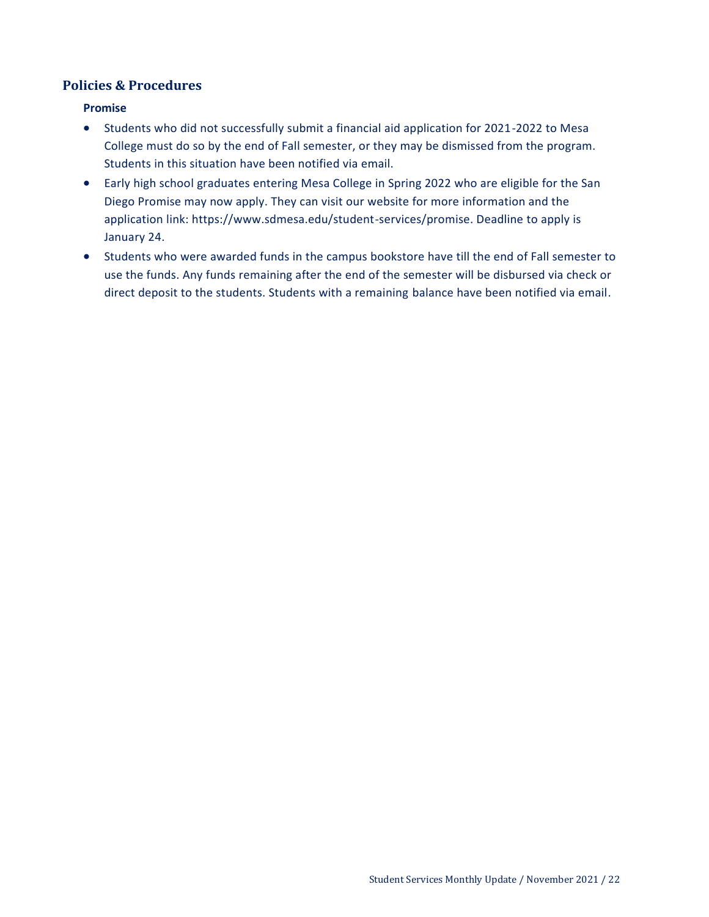## **Policies & Procedures**

### **Promise**

- Students who did not successfully submit a financial aid application for 2021-2022 to Mesa College must do so by the end of Fall semester, or they may be dismissed from the program. Students in this situation have been notified via email.
- Early high school graduates entering Mesa College in Spring 2022 who are eligible for the San Diego Promise may now apply. They can visit our website for more information and the application link: https://www.sdmesa.edu/student-services/promise. Deadline to apply is January 24.
- Students who were awarded funds in the campus bookstore have till the end of Fall semester to use the funds. Any funds remaining after the end of the semester will be disbursed via check or direct deposit to the students. Students with a remaining balance have been notified via email.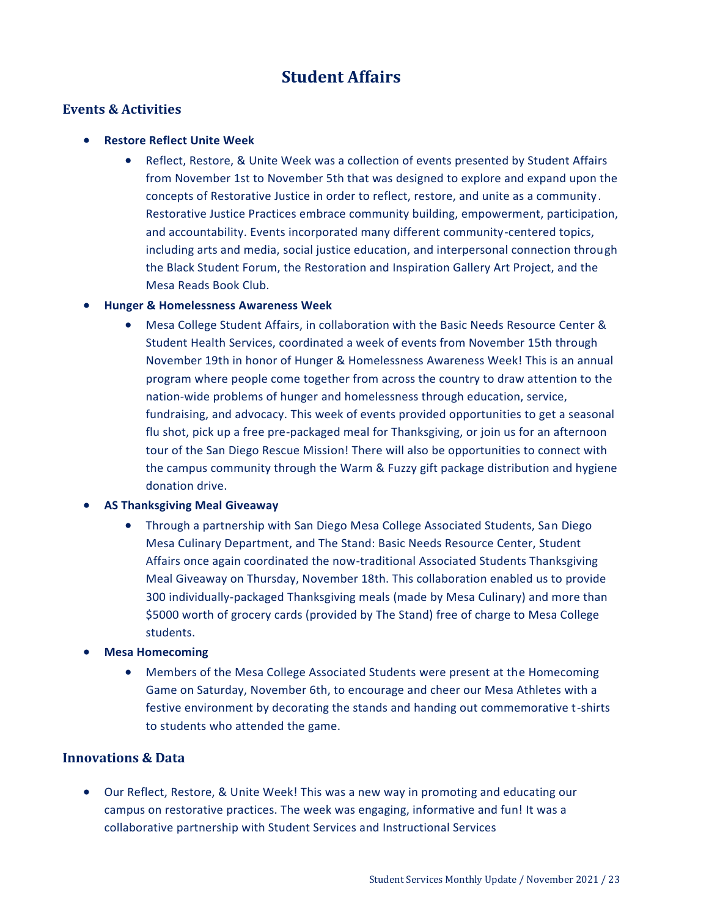# **Student Affairs**

### <span id="page-22-0"></span>**Events & Activities**

### **• Restore Reflect Unite Week**

 Reflect, Restore, & Unite Week was a collection of events presented by Student Affairs from November 1st to November 5th that was designed to explore and expand upon the concepts of Restorative Justice in order to reflect, restore, and unite as a community. Restorative Justice Practices embrace community building, empowerment, participation, and accountability. Events incorporated many different community-centered topics, including arts and media, social justice education, and interpersonal connection through the Black Student Forum, the Restoration and Inspiration Gallery Art Project, and the Mesa Reads Book Club.

### **Hunger & Homelessness Awareness Week**

 Mesa College Student Affairs, in collaboration with the Basic Needs Resource Center & Student Health Services, coordinated a week of events from November 15th through November 19th in honor of Hunger & Homelessness Awareness Week! This is an annual program where people come together from across the country to draw attention to the nation-wide problems of hunger and homelessness through education, service, fundraising, and advocacy. This week of events provided opportunities to get a seasonal flu shot, pick up a free pre-packaged meal for Thanksgiving, or join us for an afternoon tour of the San Diego Rescue Mission! There will also be opportunities to connect with the campus community through the Warm & Fuzzy gift package distribution and hygiene donation drive.

#### **AS Thanksgiving Meal Giveaway**

 Through a partnership with San Diego Mesa College Associated Students, San Diego Mesa Culinary Department, and The Stand: Basic Needs Resource Center, Student Affairs once again coordinated the now-traditional Associated Students Thanksgiving Meal Giveaway on Thursday, November 18th. This collaboration enabled us to provide 300 individually-packaged Thanksgiving meals (made by Mesa Culinary) and more than \$5000 worth of grocery cards (provided by The Stand) free of charge to Mesa College students.

### **Mesa Homecoming**

 Members of the Mesa College Associated Students were present at the Homecoming Game on Saturday, November 6th, to encourage and cheer our Mesa Athletes with a festive environment by decorating the stands and handing out commemorative t-shirts to students who attended the game.

### **Innovations & Data**

 Our Reflect, Restore, & Unite Week! This was a new way in promoting and educating our campus on restorative practices. The week was engaging, informative and fun! It was a collaborative partnership with Student Services and Instructional Services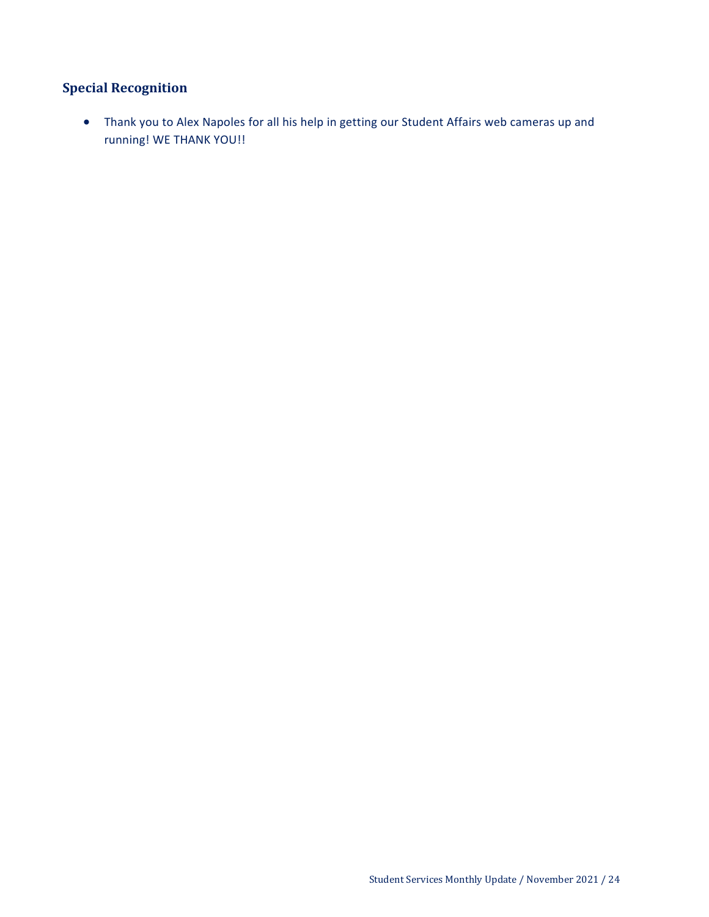# **Special Recognition**

 Thank you to Alex Napoles for all his help in getting our Student Affairs web cameras up and running! WE THANK YOU!!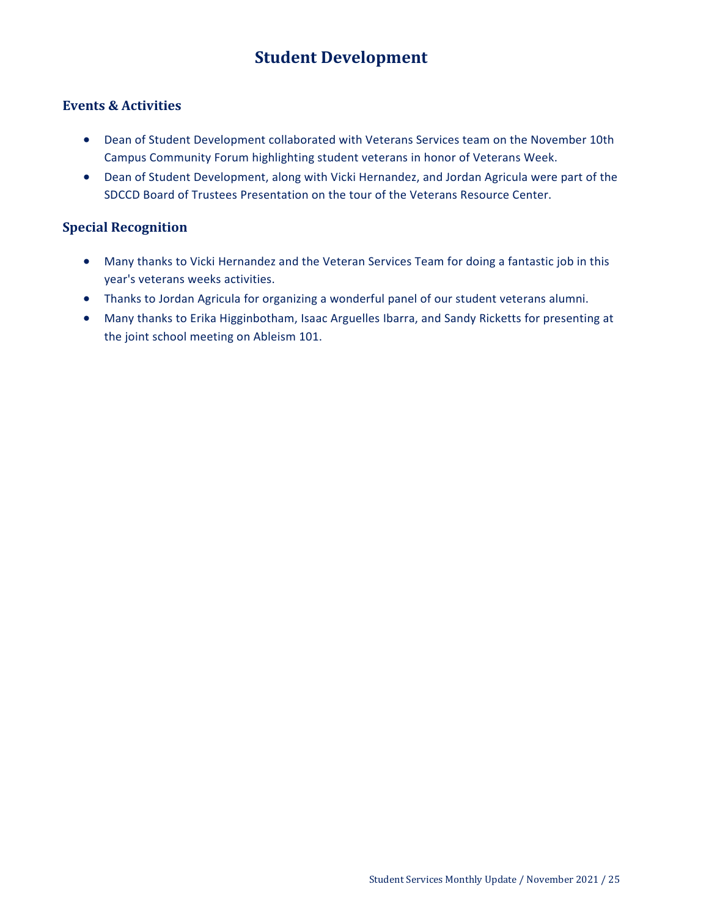# **Student Development**

### <span id="page-24-0"></span>**Events & Activities**

- Dean of Student Development collaborated with Veterans Services team on the November 10th Campus Community Forum highlighting student veterans in honor of Veterans Week.
- Dean of Student Development, along with Vicki Hernandez, and Jordan Agricula were part of the SDCCD Board of Trustees Presentation on the tour of the Veterans Resource Center.

### **Special Recognition**

- Many thanks to Vicki Hernandez and the Veteran Services Team for doing a fantastic job in this year's veterans weeks activities.
- Thanks to Jordan Agricula for organizing a wonderful panel of our student veterans alumni.
- Many thanks to Erika Higginbotham, Isaac Arguelles Ibarra, and Sandy Ricketts for presenting at the joint school meeting on Ableism 101.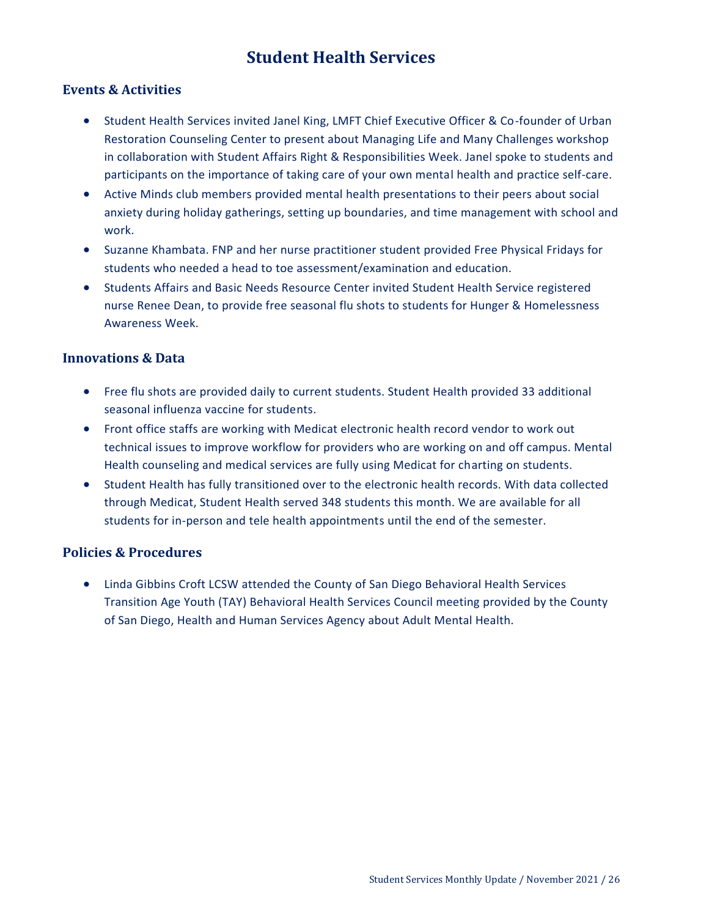# **Student Health Services**

### <span id="page-25-0"></span>**Events & Activities**

- Student Health Services invited Janel King, LMFT Chief Executive Officer & Co-founder of Urban Restoration Counseling Center to present about Managing Life and Many Challenges workshop in collaboration with Student Affairs Right & Responsibilities Week. Janel spoke to students and participants on the importance of taking care of your own mental health and practice self-care.
- Active Minds club members provided mental health presentations to their peers about social anxiety during holiday gatherings, setting up boundaries, and time management with school and work.
- Suzanne Khambata. FNP and her nurse practitioner student provided Free Physical Fridays for students who needed a head to toe assessment/examination and education.
- Students Affairs and Basic Needs Resource Center invited Student Health Service registered nurse Renee Dean, to provide free seasonal flu shots to students for Hunger & Homelessness Awareness Week.

#### **Innovations & Data**

- Free flu shots are provided daily to current students. Student Health provided 33 additional seasonal influenza vaccine for students.
- Front office staffs are working with Medicat electronic health record vendor to work out technical issues to improve workflow for providers who are working on and off campus. Mental Health counseling and medical services are fully using Medicat for charting on students.
- Student Health has fully transitioned over to the electronic health records. With data collected through Medicat, Student Health served 348 students this month. We are available for all students for in-person and tele health appointments until the end of the semester.

### **Policies & Procedures**

 Linda Gibbins Croft LCSW attended the County of San Diego Behavioral Health Services Transition Age Youth (TAY) Behavioral Health Services Council meeting provided by the County of San Diego, Health and Human Services Agency about Adult Mental Health.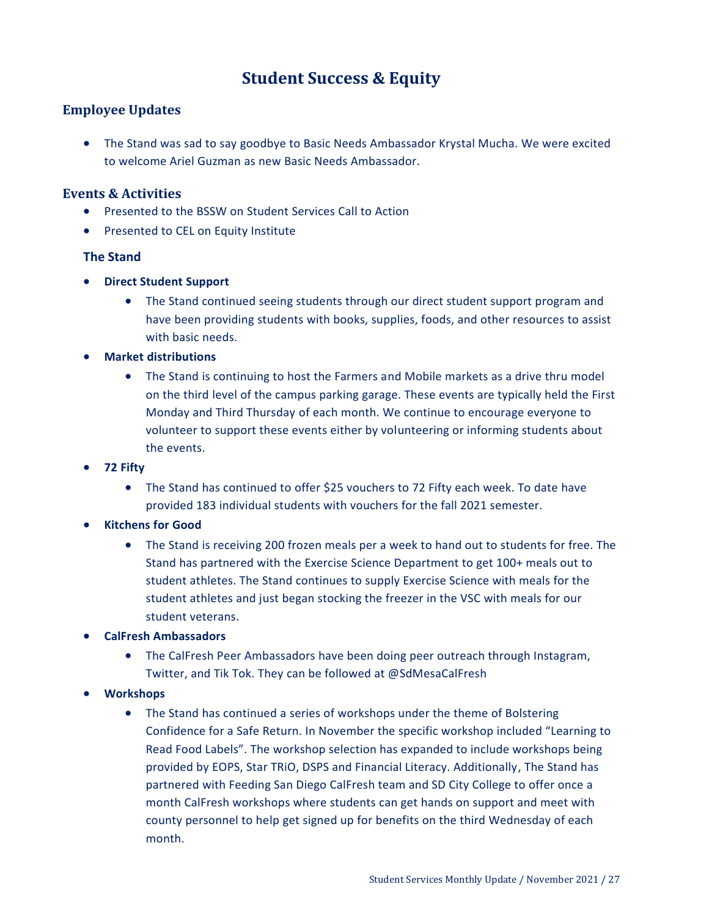# **Student Success & Equity**

### <span id="page-26-0"></span>**Employee Updates**

 The Stand was sad to say goodbye to Basic Needs Ambassador Krystal Mucha. We were excited to welcome Ariel Guzman as new Basic Needs Ambassador.

### **Events & Activities**

- Presented to the BSSW on Student Services Call to Action
- Presented to CEL on Equity Institute

### **The Stand**

- **Direct Student Support**
	- The Stand continued seeing students through our direct student support program and have been providing students with books, supplies, foods, and other resources to assist with basic needs.
- **Market distributions**
	- The Stand is continuing to host the Farmers and Mobile markets as a drive thru model on the third level of the campus parking garage. These events are typically held the First Monday and Third Thursday of each month. We continue to encourage everyone to volunteer to support these events either by volunteering or informing students about the events.
- **72 Fifty**
	- The Stand has continued to offer \$25 vouchers to 72 Fifty each week. To date have provided 183 individual students with vouchers for the fall 2021 semester.
- **Kitchens for Good**
	- The Stand is receiving 200 frozen meals per a week to hand out to students for free. The Stand has partnered with the Exercise Science Department to get 100+ meals out to student athletes. The Stand continues to supply Exercise Science with meals for the student athletes and just began stocking the freezer in the VSC with meals for our student veterans.
- **CalFresh Ambassadors**
	- The CalFresh Peer Ambassadors have been doing peer outreach through Instagram, Twitter, and Tik Tok. They can be followed at @SdMesaCalFresh
- **Workshops** 
	- The Stand has continued a series of workshops under the theme of Bolstering Confidence for a Safe Return. In November the specific workshop included "Learning to Read Food Labels". The workshop selection has expanded to include workshops being provided by EOPS, Star TRiO, DSPS and Financial Literacy. Additionally, The Stand has partnered with Feeding San Diego CalFresh team and SD City College to offer once a month CalFresh workshops where students can get hands on support and meet with county personnel to help get signed up for benefits on the third Wednesday of each month.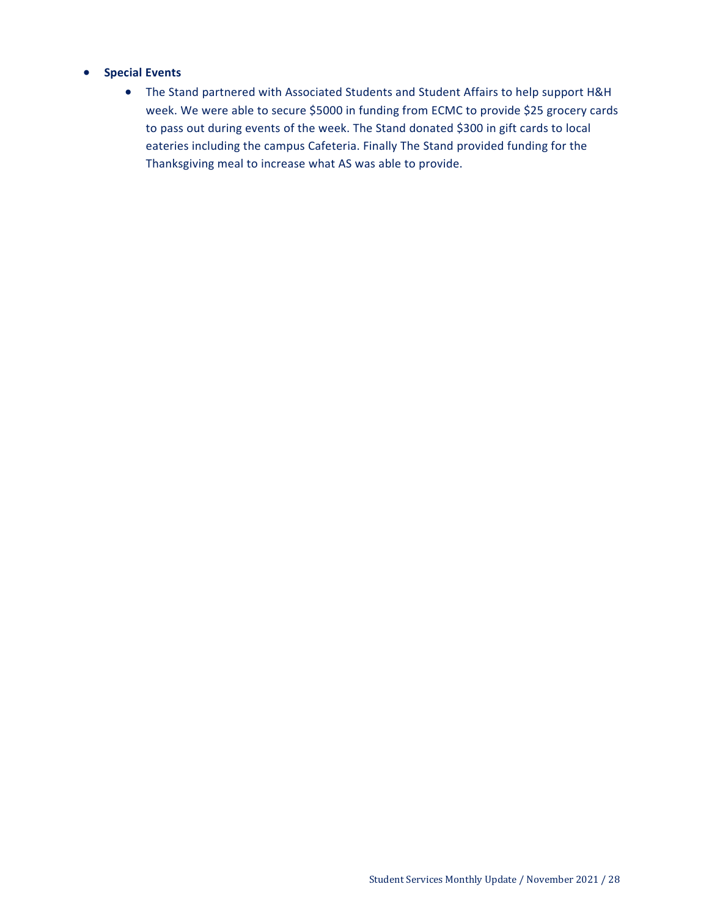#### **•** Special Events

 The Stand partnered with Associated Students and Student Affairs to help support H&H week. We were able to secure \$5000 in funding from ECMC to provide \$25 grocery cards to pass out during events of the week. The Stand donated \$300 in gift cards to local eateries including the campus Cafeteria. Finally The Stand provided funding for the Thanksgiving meal to increase what AS was able to provide.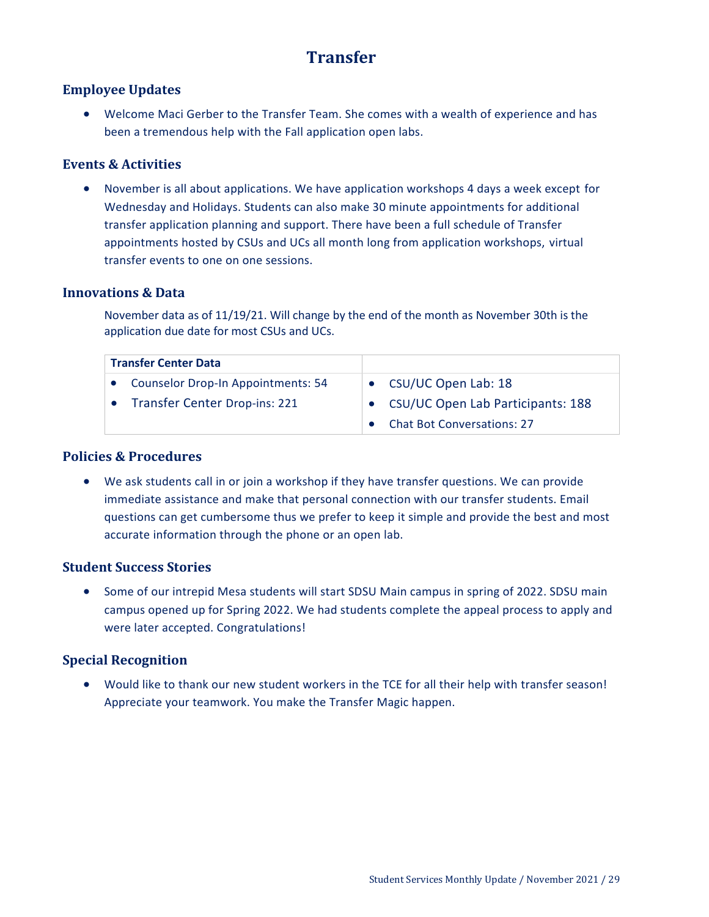# **Transfer**

### <span id="page-28-0"></span>**Employee Updates**

 Welcome Maci Gerber to the Transfer Team. She comes with a wealth of experience and has been a tremendous help with the Fall application open labs.

### **Events & Activities**

 November is all about applications. We have application workshops 4 days a week except for Wednesday and Holidays. Students can also make 30 minute appointments for additional transfer application planning and support. There have been a full schedule of Transfer appointments hosted by CSUs and UCs all month long from application workshops, virtual transfer events to one on one sessions.

### **Innovations & Data**

November data as of 11/19/21. Will change by the end of the month as November 30th is the application due date for most CSUs and UCs.

| <b>Transfer Center Data</b>               |                                     |
|-------------------------------------------|-------------------------------------|
| <b>Counselor Drop-In Appointments: 54</b> | • CSU/UC Open Lab: 18               |
| <b>Transfer Center Drop-ins: 221</b>      | • CSU/UC Open Lab Participants: 188 |
|                                           | <b>Chat Bot Conversations: 27</b>   |

### **Policies & Procedures**

 We ask students call in or join a workshop if they have transfer questions. We can provide immediate assistance and make that personal connection with our transfer students. Email questions can get cumbersome thus we prefer to keep it simple and provide the best and most accurate information through the phone or an open lab.

### **Student Success Stories**

• Some of our intrepid Mesa students will start SDSU Main campus in spring of 2022. SDSU main campus opened up for Spring 2022. We had students complete the appeal process to apply and were later accepted. Congratulations!

### **Special Recognition**

 Would like to thank our new student workers in the TCE for all their help with transfer season! Appreciate your teamwork. You make the Transfer Magic happen.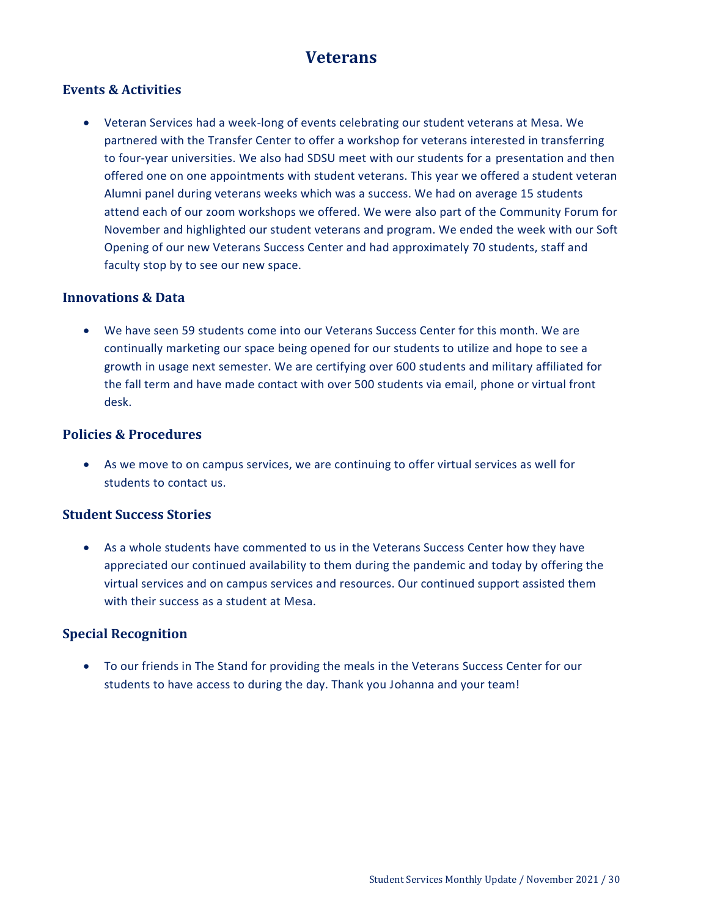# **Veterans**

### <span id="page-29-0"></span>**Events & Activities**

 Veteran Services had a week-long of events celebrating our student veterans at Mesa. We partnered with the Transfer Center to offer a workshop for veterans interested in transferring to four-year universities. We also had SDSU meet with our students for a presentation and then offered one on one appointments with student veterans. This year we offered a student veteran Alumni panel during veterans weeks which was a success. We had on average 15 students attend each of our zoom workshops we offered. We were also part of the Community Forum for November and highlighted our student veterans and program. We ended the week with our Soft Opening of our new Veterans Success Center and had approximately 70 students, staff and faculty stop by to see our new space.

### **Innovations & Data**

 We have seen 59 students come into our Veterans Success Center for this month. We are continually marketing our space being opened for our students to utilize and hope to see a growth in usage next semester. We are certifying over 600 students and military affiliated for the fall term and have made contact with over 500 students via email, phone or virtual front desk.

### **Policies & Procedures**

 As we move to on campus services, we are continuing to offer virtual services as well for students to contact us.

### **Student Success Stories**

 As a whole students have commented to us in the Veterans Success Center how they have appreciated our continued availability to them during the pandemic and today by offering the virtual services and on campus services and resources. Our continued support assisted them with their success as a student at Mesa.

### **Special Recognition**

 To our friends in The Stand for providing the meals in the Veterans Success Center for our students to have access to during the day. Thank you Johanna and your team!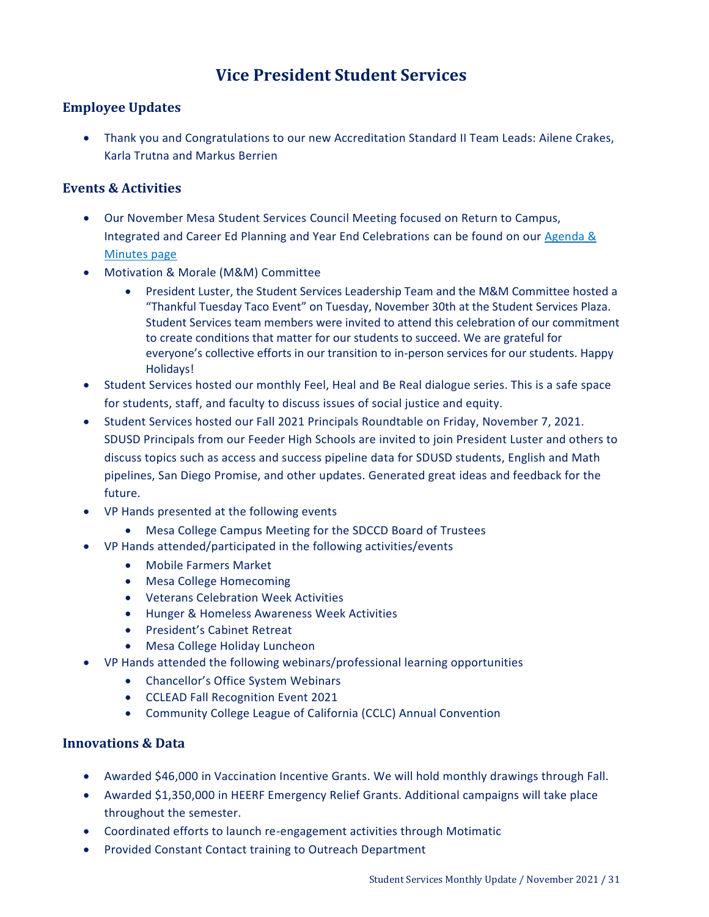# **Vice President Student Services**

### <span id="page-30-0"></span>**Employee Updates**

 Thank you and Congratulations to our new Accreditation Standard II Team Leads: Ailene Crakes, Karla Trutna and Markus Berrien

### **Events & Activities**

- Our November Mesa Student Services Council Meeting focused on Return to Campus, Integrated and Career Ed Planning and Year End Celebrations can be found on our [Agenda &](https://www.sdmesa.edu/about-mesa/governance/committees/student-services-agendas-minutes-and-documents/student-services-agendas-minutes.shtml)  [Minutes page](https://www.sdmesa.edu/about-mesa/governance/committees/student-services-agendas-minutes-and-documents/student-services-agendas-minutes.shtml)
- Motivation & Morale (M&M) Committee
	- President Luster, the Student Services Leadership Team and the M&M Committee hosted a "Thankful Tuesday Taco Event" on Tuesday, November 30th at the Student Services Plaza. Student Services team members were invited to attend this celebration of our commitment to create conditions that matter for our students to succeed. We are grateful for everyone's collective efforts in our transition to in-person services for our students. Happy Holidays!
- Student Services hosted our monthly Feel, Heal and Be Real dialogue series. This is a safe space for students, staff, and faculty to discuss issues of social justice and equity.
- Student Services hosted our Fall 2021 Principals Roundtable on Friday, November 7, 2021. SDUSD Principals from our Feeder High Schools are invited to join President Luster and others to discuss topics such as access and success pipeline data for SDUSD students, English and Math pipelines, San Diego Promise, and other updates. Generated great ideas and feedback for the future.
- VP Hands presented at the following events
	- Mesa College Campus Meeting for the SDCCD Board of Trustees
- VP Hands attended/participated in the following activities/events
	- Mobile Farmers Market
	- Mesa College Homecoming
	- Veterans Celebration Week Activities
	- Hunger & Homeless Awareness Week Activities
	- President's Cabinet Retreat
	- Mesa College Holiday Luncheon
- VP Hands attended the following webinars/professional learning opportunities
	- Chancellor's Office System Webinars
	- CCLEAD Fall Recognition Event 2021
	- Community College League of California (CCLC) Annual Convention

### **Innovations & Data**

- Awarded \$46,000 in Vaccination Incentive Grants. We will hold monthly drawings through Fall.
- Awarded \$1,350,000 in HEERF Emergency Relief Grants. Additional campaigns will take place throughout the semester.
- Coordinated efforts to launch re-engagement activities through Motimatic
- **Provided Constant Contact training to Outreach Department**